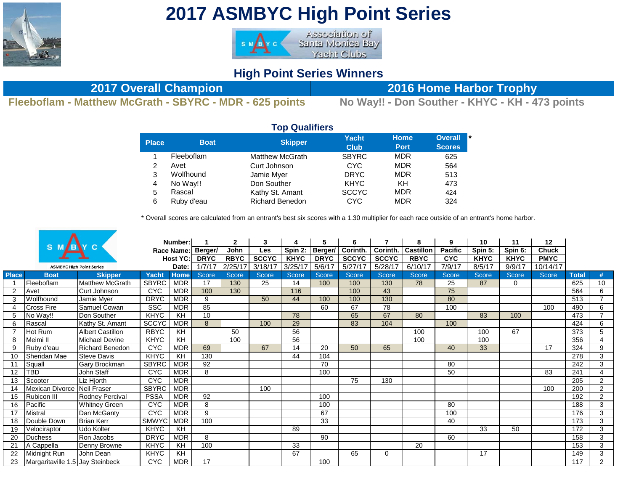

## **2017 ASMBYC High Point Series**



## **High Point Series Winners**

**Fleeboflam - Matthew McGrath - SBYRC - MDR - 625 points No Way!! - Don Souther - KHYC - KH - 473 points**

**2017 Overall Champion 2016 Home Harbor Trophy**

|                |             | <b>Top Qualifiers</b>  |                      |                            |                                       |
|----------------|-------------|------------------------|----------------------|----------------------------|---------------------------------------|
| <b>Place</b>   | <b>Boat</b> | <b>Skipper</b>         | Yacht<br><b>Club</b> | <b>Home</b><br><b>Port</b> | <b>Overall</b><br>١×<br><b>Scores</b> |
|                | Fleeboflam  | <b>Matthew McGrath</b> | <b>SBYRC</b>         | <b>MDR</b>                 | 625                                   |
| $\overline{2}$ | Avet        | Curt Johnson           | <b>CYC</b>           | <b>MDR</b>                 | 564                                   |
| 3              | Wolfhound   | Jamie Myer             | <b>DRYC</b>          | <b>MDR</b>                 | 513                                   |
| 4              | No Way!!    | Don Souther            | <b>KHYC</b>          | KH                         | 473                                   |
| 5              | Rascal      | Kathy St. Amant        | <b>SCCYC</b>         | <b>MDR</b>                 | 424                                   |
| 6              | Ruby d'eau  | <b>Richard Benedon</b> | <b>CYC</b>           | <b>MDR</b>                 | 324                                   |

\* Overall scores are calculated from an entrant's best six scores with a 1.30 multiplier for each race outside of an entrant's home harbor.

|              | S M                              |                         |              | Number:     |                    | $\mathbf{2}$ | 3            | 4           | 5.          | 6            |              | 8                | 9              | 10          | 11           | 12           |              |                |
|--------------|----------------------------------|-------------------------|--------------|-------------|--------------------|--------------|--------------|-------------|-------------|--------------|--------------|------------------|----------------|-------------|--------------|--------------|--------------|----------------|
|              |                                  |                         |              |             | Race Name: Berger/ | John         | <b>Les</b>   | Spin 2:     | Berger/     | Corinth.     | Corinth.     | <b>Castillon</b> | <b>Pacific</b> | Spin 5:     | Spin 6:      | <b>Chuck</b> |              |                |
|              |                                  |                         |              | Host YC:    | <b>DRYC</b>        | <b>RBYC</b>  | <b>SCCYC</b> | <b>KHYC</b> | <b>DRYC</b> | <b>SCCYC</b> | <b>SCCYC</b> | <b>RBYC</b>      | <b>CYC</b>     | <b>KHYC</b> | <b>KHYC</b>  | <b>PMYC</b>  |              |                |
|              | <b>ASMBYC High Point Series</b>  |                         |              | Date:       | 1/7/17             | 2/25/17      | 3/18/17      | 3/25/17     | 5/6/17      | 5/27/17      | 5/28/17      | 6/10/17          | 7/9/17         | 8/5/17      | 9/9/17       | 10/14/17     |              |                |
| <b>Place</b> | <b>Boat</b>                      | <b>Skipper</b>          | Yacht        | <b>Home</b> | Score              | Score        | Score        | Score       | Score       | Score        | <b>Score</b> | <b>Score</b>     | Score          | Score       | <b>Score</b> | Score        | <b>Total</b> | #              |
|              | Fleeboflam                       | <b>Matthew McGrath</b>  | <b>SBYRC</b> | <b>MDR</b>  | 17                 | 130          | 25           | 14          | 100         | 100          | 130          | 78               | 25             | 87          | $\mathbf 0$  |              | 625          | 10             |
|              | Avet                             | Curt Johnson            | <b>CYC</b>   | <b>MDR</b>  | 100                | 130          |              | 116         |             | 100          | 43           |                  | 75             |             |              |              | 564          | 6              |
|              | Wolfhound                        | Jamie Myer              | <b>DRYC</b>  | <b>MDR</b>  | 9                  |              | 50           | 44          | 100         | 100          | 130          |                  | 80             |             |              |              | 513          | $\overline{7}$ |
|              | <b>Cross Fire</b>                | Samuel Cowan            | <b>SSC</b>   | <b>MDR</b>  | 85                 |              |              |             | 60          | 67           | 78           |                  | 100            |             |              | 100          | 490          | 6              |
|              | No Way!!                         | Don Souther             | KHYC         | KH          | 10                 |              |              | 78          |             | 65           | 67           | 80               |                | 83          | 100          |              | 473          | $\overline{ }$ |
|              | Rascal                           | Kathy St. Amant         | <b>SCCYC</b> | <b>MDR</b>  | 8                  |              | 100          | 29          |             | 83           | 104          |                  | 100            |             |              |              | 424          | 6              |
|              | Hot Rum                          | <b>Albert Castillon</b> | <b>RBYC</b>  | <b>KH</b>   |                    | 50           |              | 56          |             |              |              | 100              |                | 100         | 67           |              | 373          | 5              |
| 8            | Meimi II                         | <b>Michael Devine</b>   | <b>KHYC</b>  | KH          |                    | 100          |              | 56          |             |              |              | 100              |                | 100         |              |              | 356          | $\overline{4}$ |
| 9            | Ruby d'eau                       | Richard Benedon         | <b>CYC</b>   | <b>MDR</b>  | 69                 |              | 67           | 14          | 20          | 50           | 65           |                  | 40             | 33          |              | 17           | 324          | 9              |
| 10           | Sheridan Mae                     | <b>Steve Davis</b>      | <b>KHYC</b>  | KH          | 130                |              |              | 44          | 104         |              |              |                  |                |             |              |              | 278          | $\overline{3}$ |
| 11           | Squall                           | Gary Brockman           | <b>SBYRC</b> | <b>MDR</b>  | 92                 |              |              |             | 70          |              |              |                  | 80             |             |              |              | 242          | 3              |
| 12           | TBD                              | John Staff              | <b>CYC</b>   | <b>MDR</b>  | 8                  |              |              |             | 100         |              |              |                  | 50             |             |              | 83           | 241          | 4              |
| 13           | Scooter                          | Liz Hjorth              | <b>CYC</b>   | <b>MDR</b>  |                    |              |              |             |             | 75           | 130          |                  |                |             |              |              | 205          | $\overline{2}$ |
| 14           | Mexican Divorce                  | Neil Fraser             | <b>SBYRC</b> | MDR         |                    |              | 100          |             |             |              |              |                  |                |             |              | 100          | 200          | $\overline{2}$ |
| 15           | Rubicon III                      | Rodney Percival         | <b>PSSA</b>  | <b>MDR</b>  | 92                 |              |              |             | 100         |              |              |                  |                |             |              |              | 192          | $\overline{2}$ |
| 16           | Pacific                          | <b>Whitney Green</b>    | <b>CYC</b>   | <b>MDR</b>  | 8                  |              |              |             | 100         |              |              |                  | 80             |             |              |              | 188          | 3              |
| 17           | <b>Mistral</b>                   | Dan McGanty             | <b>CYC</b>   | <b>MDR</b>  | 9                  |              |              |             | 67          |              |              |                  | 100            |             |              |              | 176          | 3              |
| 18           | Double Down                      | <b>Brian Kerr</b>       | <b>SMWYC</b> | <b>MDR</b>  | 100                |              |              |             | 33          |              |              |                  | 40             |             |              |              | 173          | 3              |
| 19           | Velociraptor                     | <b>Udo Kolter</b>       | <b>KHYC</b>  | <b>KH</b>   |                    |              |              | 89          |             |              |              |                  |                | 33          | 50           |              | 172          | 3              |
| 20           | <b>Duchess</b>                   | Ron Jacobs              | <b>DRYC</b>  | <b>MDR</b>  | 8                  |              |              |             | 90          |              |              |                  | 60             |             |              |              | 158          | 3              |
| 21           | A Cappella                       | Denny Browne            | <b>KHYC</b>  | KH          | 100                |              |              | 33          |             |              |              | 20               |                |             |              |              | 153          | $\mathbf{3}$   |
| 22           | Midnight Run                     | John Dean               | <b>KHYC</b>  | KH          |                    |              |              | 67          |             | 65           | 0            |                  |                | 17          |              |              | 149          | 3              |
| 23           | Margaritaville 1.5 Jay Steinbeck |                         | <b>CYC</b>   | <b>MDR</b>  | 17                 |              |              |             | 100         |              |              |                  |                |             |              |              | 117          | $2^{\circ}$    |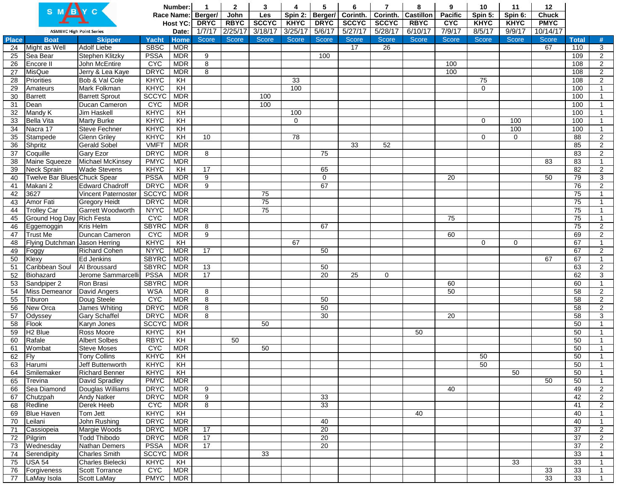|              |                                 |                                                  |                            | Number:                  |              | $\mathbf{2}$ | 3            |              | 5               |              | 7            | 8                | 9            | 10           | 11           | 12           |                 |                                  |
|--------------|---------------------------------|--------------------------------------------------|----------------------------|--------------------------|--------------|--------------|--------------|--------------|-----------------|--------------|--------------|------------------|--------------|--------------|--------------|--------------|-----------------|----------------------------------|
|              |                                 |                                                  |                            | Race Name:               | Berger/      | John         | Les          | Spin 2:      | Berger/         | Corinth.     | Corinth.     | <b>Castillon</b> | Pacific      | Spin 5:      | Spin 6:      | <b>Chuck</b> |                 |                                  |
|              |                                 |                                                  |                            | Host YC:                 | <b>DRYC</b>  | <b>RBYC</b>  | <b>SCCYC</b> | <b>KHYC</b>  | <b>DRYC</b>     | <b>SCCYC</b> | <b>SCCYC</b> | <b>RBYC</b>      | <b>CYC</b>   | <b>KHYC</b>  | <b>KHYC</b>  | <b>PMYC</b>  |                 |                                  |
|              | <b>ASMBYC High Point Series</b> |                                                  |                            | Date:                    | 1/7/17       | 2/25/17      | 3/18/17      | 3/25/17      | 5/6/17          | 5/27/17      | 5/28/17      | 6/10/17          | 7/9/17       | 8/5/17       | 9/9/17       | 10/14/17     |                 |                                  |
| <b>Place</b> | <b>Boat</b>                     | <b>Skipper</b>                                   | <b>Yacht</b>               | <b>Home</b>              | <b>Score</b> | Score        | <b>Score</b> | <b>Score</b> | Score           | <b>Score</b> | Score        | <b>Score</b>     | <b>Score</b> | <b>Score</b> | <b>Score</b> | Score        | <b>Total</b>    | #                                |
| 24           | Might as Well                   | <b>Adolf Liebe</b>                               | <b>SBSC</b>                | <b>MDR</b>               |              |              |              |              |                 | 17           | 26           |                  |              |              |              | 67           | 110             | 3                                |
| 25           | Sea Bear                        | Stephen Klitzky                                  | <b>PSSA</b>                | <b>MDR</b>               | 9            |              |              |              | 100             |              |              |                  |              |              |              |              | 109             | $\overline{2}$                   |
| 26           | Encore II                       | John McEntire                                    | <b>CYC</b>                 | <b>MDR</b>               | 8            |              |              |              |                 |              |              |                  | 100          |              |              |              | 108             | $\overline{2}$                   |
| 27           | <b>MisQue</b>                   | Jerry & Lea Kaye                                 | <b>DRYC</b>                | <b>MDR</b>               | 8            |              |              |              |                 |              |              |                  | 100          |              |              |              | 108             | $\overline{2}$                   |
| 28           | Priorities                      | Bob & Val Cole                                   | <b>KHYC</b>                | KH                       |              |              |              | 33           |                 |              |              |                  |              | 75           |              |              | 108             | $\overline{2}$                   |
| 29           | Amateurs                        | Mark Folkman                                     | KHYC                       | $\overline{KH}$          |              |              |              | 100          |                 |              |              |                  |              | $\mathbf 0$  |              |              | 100             |                                  |
| 30           | <b>Barrett</b>                  | <b>Barrett Sprout</b>                            | <b>SCCYC</b>               | <b>MDR</b>               |              |              | 100          |              |                 |              |              |                  |              |              |              |              | 100             |                                  |
| 31           | Dean                            | Ducan Cameron                                    | <b>CYC</b>                 | <b>MDR</b>               |              |              | 100          |              |                 |              |              |                  |              |              |              |              | 100             |                                  |
| 32           | Mandy K                         | <b>Jim Haskell</b>                               | <b>KHYC</b>                | $\overline{K}$           |              |              |              | 100          |                 |              |              |                  |              |              |              |              | 100             |                                  |
| 33           | <b>Bella Vita</b>               | <b>Marty Burke</b>                               | KHYC                       | KH                       |              |              |              | $\Omega$     |                 |              |              |                  |              | $\Omega$     | 100          |              | 100             |                                  |
| 34           | Nacra 17                        | <b>Steve Fechner</b>                             | <b>KHYC</b>                | KH                       |              |              |              |              |                 |              |              |                  |              |              | 100          |              | 100             | $\overline{1}$                   |
| 35           | Stampede                        | <b>Glenn Griley</b>                              | KHYC                       | $\overline{KH}$          | 10           |              |              | 78           |                 |              |              |                  |              | $\Omega$     | $\mathbf 0$  |              | $\overline{88}$ | $\overline{2}$                   |
| 36           | Shpritz                         | <b>Gerald Sobel</b>                              | <b>VMFT</b>                | <b>MDR</b>               |              |              |              |              |                 | 33           | 52           |                  |              |              |              |              | 85              | $\overline{2}$                   |
| 37           | Coquille                        | <b>Gary Ezor</b>                                 | <b>DRYC</b>                | <b>MDR</b>               | 8            |              |              |              | 75              |              |              |                  |              |              |              |              | 83              | $\overline{2}$                   |
| 38           | Maine Squeeze                   | Michael McKinsey                                 | <b>PMYC</b>                | <b>MDR</b>               |              |              |              |              |                 |              |              |                  |              |              |              | 83           | 83              | $\mathbf{1}$                     |
| 39           | Neck Sprain                     | <b>Wade Stevens</b>                              | <b>KHYC</b>                | $\overline{K}$           | 17           |              |              |              | 65              |              |              |                  |              |              |              |              | 82              | $\overline{2}$                   |
| 40           | Twelve Bar Blues Chuck Spear    |                                                  | <b>PSSA</b>                | <b>MDR</b>               | 9            |              |              |              | $\mathbf 0$     |              |              |                  | 20           |              |              | 50           | 79              | 3                                |
| 41           | Makani 2                        | <b>Edward Chadroff</b>                           | <b>DRYC</b>                | <b>MDR</b>               | 9            |              |              |              | 67              |              |              |                  |              |              |              |              | $\overline{76}$ | $\overline{2}$                   |
| 42           | 3627                            | Vincent Paternoster                              | SCCYC                      | <b>MDR</b>               |              |              | 75<br>75     |              |                 |              |              |                  |              |              |              |              | 75<br>75        |                                  |
| 43           | Amor Fati<br><b>Trolley Car</b> | <b>Gregory Heidt</b><br><b>Garrett Woodworth</b> | <b>DRYC</b><br><b>NYYC</b> | <b>MDR</b><br><b>MDR</b> |              |              | 75           |              |                 |              |              |                  |              |              |              |              | 75              |                                  |
| 44           | Ground Hog Day Rich Festa       |                                                  | <b>CYC</b>                 | <b>MDR</b>               |              |              |              |              |                 |              |              |                  | 75           |              |              |              | 75              |                                  |
| 45<br>46     |                                 | Kris Helm                                        | <b>SBYRC</b>               | <b>MDR</b>               | 8            |              |              |              | 67              |              |              |                  |              |              |              |              | 75              | $\mathbf{1}$                     |
| 47           | Eggemoggin<br>Trust Me          | Duncan Cameron                                   | <b>C<sub>AC</sub></b>      | <b>MDR</b>               | 9            |              |              |              |                 |              |              |                  | 60           |              |              |              | 69              | $\overline{2}$<br>$\overline{2}$ |
| 48           | Flying Dutchman Jason Herring   |                                                  | KHYC                       | KH                       |              |              |              | 67           |                 |              |              |                  |              | $\Omega$     | $\mathbf 0$  |              | 67              | $\mathbf{1}$                     |
| 49           | Foggy                           | Richard Cohen                                    | <b>NYYC</b>                | <b>MDR</b>               | 17           |              |              |              | 50              |              |              |                  |              |              |              |              | 67              | $\overline{2}$                   |
| 50           | Klexy                           | Ed Jenkins                                       | <b>SBYRC</b>               | <b>MDR</b>               |              |              |              |              |                 |              |              |                  |              |              |              | 67           | 67              | 1                                |
| 51           | Caribbean Soul                  | Al Broussard                                     | <b>SBYRC</b>               | <b>MDR</b>               | 13           |              |              |              | 50              |              |              |                  |              |              |              |              | 63              | $\overline{2}$                   |
| 52           | Biohazard                       | Jerome Sammarcelli                               | <b>PSSA</b>                | <b>MDR</b>               | 17           |              |              |              | 20              | 25           | $\mathbf 0$  |                  |              |              |              |              | 62              | 3                                |
| 53           | Sandpiper 2                     | Ron Brasi                                        | <b>SBYRC</b>               | <b>MDR</b>               |              |              |              |              |                 |              |              |                  | 60           |              |              |              | 60              | $\mathbf{1}$                     |
| 54           | Miss Demeanor                   | David Angers                                     | <b>WSA</b>                 | <b>MDR</b>               | 8            |              |              |              |                 |              |              |                  | 50           |              |              |              | 58              | $\overline{2}$                   |
| 55           | Tiburon                         | Doug Steele                                      | <b>CYC</b>                 | <b>MDR</b>               | 8            |              |              |              | 50              |              |              |                  |              |              |              |              | 58              | $\overline{2}$                   |
| 56           | New Orca                        | <b>James Whiting</b>                             | <b>DRYC</b>                | <b>MDR</b>               | 8            |              |              |              | 50              |              |              |                  |              |              |              |              | 58              | $\overline{2}$                   |
| 57           | Odyssey                         | <b>Gary Schaffel</b>                             | <b>DRYC</b>                | <b>MDR</b>               | 8            |              |              |              | 30              |              |              |                  | 20           |              |              |              | 58              | 3                                |
| 58           | Flook                           | Karyn Jones                                      | <b>SCCYC</b>               | <b>MDR</b>               |              |              | 50           |              |                 |              |              |                  |              |              |              |              | 50              | $\mathbf{1}$                     |
| 59           | H <sub>2</sub> Blue             | Ross Moore                                       | KHYC                       | KH                       |              |              |              |              |                 |              |              | 50               |              |              |              |              | 50              |                                  |
| 60           | Rafale                          | <b>Albert Solbes</b>                             | <b>RBYC</b>                | $\overline{KH}$          |              | 50           |              |              |                 |              |              |                  |              |              |              |              | 50              |                                  |
| 61           | Wombat                          | <b>Steve Moses</b>                               | <b>CYC</b>                 | <b>MDR</b>               |              |              | 50           |              |                 |              |              |                  |              |              |              |              | 50              |                                  |
| 62           | Flv                             | <b>Tony Collins</b>                              | KHYC                       | $\overline{H}$           |              |              |              |              |                 |              |              |                  |              | 50           |              |              | 50              |                                  |
| 63           | Harumi                          | Jeff Buttenworth                                 | KHYC                       | KH                       |              |              |              |              |                 |              |              |                  |              | 50           |              |              | 50              |                                  |
| 64           | Smilemaker                      | <b>Richard Benner</b>                            | KHYC                       | $\overline{KH}$          |              |              |              |              |                 |              |              |                  |              |              | 50           |              | 50              |                                  |
| 65           | Trevina                         | David Spradley                                   | <b>PMYC</b>                | <b>MDR</b>               |              |              |              |              |                 |              |              |                  |              |              |              | 50           | 50              | 1                                |
| 66           | Sea Diamond                     | Douglas Williams                                 | <b>DRYC</b>                | <b>MDR</b>               | 9            |              |              |              |                 |              |              |                  | 40           |              |              |              | 49              | $\overline{2}$                   |
| 67           | Chutzpah                        | <b>Andy Natker</b>                               | <b>DRYC</b>                | <b>MDR</b>               | 9            |              |              |              | 33              |              |              |                  |              |              |              |              | 42              | $\overline{2}$                   |
| 68           | Redline                         | Derek Heeb                                       | <b>CAC</b>                 | <b>MDR</b>               | 8            |              |              |              | 33              |              |              |                  |              |              |              |              | 41              | $\overline{2}$                   |
| 69           | <b>Blue Haven</b>               | Tom Jett                                         | KHYC                       | KH                       |              |              |              |              |                 |              |              | 40               |              |              |              |              | 40              |                                  |
| 70           | Leilani                         | John Rushing                                     | <b>DRYC</b>                | <b>MDR</b>               |              |              |              |              | 40              |              |              |                  |              |              |              |              | 40              | $\mathbf{1}$                     |
| 71           | Cassiopeia                      | Margie Woods                                     | <b>DRYC</b>                | <b>MDR</b>               | 17           |              |              |              | $\overline{20}$ |              |              |                  |              |              |              |              | 37              | $\overline{2}$                   |
| 72           | Pilgrim                         | <b>Todd Thibodo</b>                              | <b>DRYC</b>                | <b>MDR</b>               | 17           |              |              |              | $\overline{20}$ |              |              |                  |              |              |              |              | $\overline{37}$ | $\overline{a}$                   |
| 73           | Wednesday                       | Nathan Demers                                    | <b>PSSA</b>                | <b>MDR</b>               | 17           |              |              |              | 20              |              |              |                  |              |              |              |              | 37              | $\overline{2}$                   |
| 74           | Serendipity                     | <b>Charles Smith</b>                             | <b>SCCYC</b>               | <b>MDR</b>               |              |              | 33           |              |                 |              |              |                  |              |              |              |              | 33              |                                  |
| 75           | <b>USA 54</b>                   | Charles Bielecki                                 | <b>KHYC</b>                | KH                       |              |              |              |              |                 |              |              |                  |              |              | 33           |              | 33              | 1                                |
| 76           | Forgiveness                     | <b>Scott Torrance</b>                            | <b>CAC</b>                 | <b>MDR</b>               |              |              |              |              |                 |              |              |                  |              |              |              | 33           | 33              |                                  |
| 77           | LaMay Isola                     | Scott LaMay                                      | <b>PMYC</b>                | <b>MDR</b>               |              |              |              |              |                 |              |              |                  |              |              |              | 33           | 33              |                                  |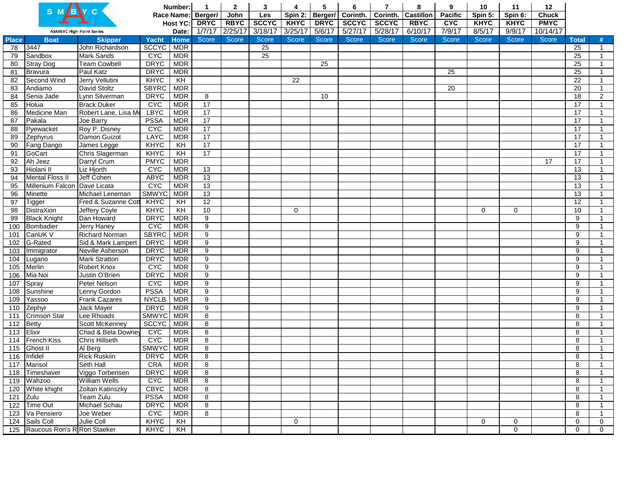|              |                                 |                       |                       | Number:        | $\mathbf 1$    | $\mathbf{2}$ | 3               | 4                 | 5           | 6            | $\overline{7}$ | 8                | 9            | 10          | 11           | 12           |                 |                |
|--------------|---------------------------------|-----------------------|-----------------------|----------------|----------------|--------------|-----------------|-------------------|-------------|--------------|----------------|------------------|--------------|-------------|--------------|--------------|-----------------|----------------|
|              |                                 |                       |                       | Race Name:     | Berger/        | John         | Les             | Spin 2:   Berger/ |             | Corinth.     | Corinth.       | <b>Castillon</b> | Pacific      | Spin 5:     | Spin 6:      | <b>Chuck</b> |                 |                |
|              |                                 |                       |                       | Host YC:       | <b>DRYC</b>    | <b>RBYC</b>  | <b>SCCYC</b>    | <b>KHYC</b>       | <b>DRYC</b> | <b>SCCYC</b> | <b>SCCYC</b>   | <b>RBYC</b>      | <b>CAC</b>   | <b>KHYC</b> | <b>KHYC</b>  | <b>PMYC</b>  |                 |                |
|              | <b>ASMBYC High Point Series</b> |                       |                       | Date:          | 1/7/17         | 2/25/17      | 3/18/17         | 3/25/17           | 5/6/17      | 5/27/17      | 5/28/17        | 6/10/17          | 7/9/17       | 8/5/17      | 9/9/17       | 10/14/17     |                 |                |
| <b>Place</b> | <b>Boat</b>                     | <b>Skipper</b>        | Yacht                 | <b>Home</b>    | Score          | Score        | Score           | Score             | Score       | Score        | Score          | Score            | <b>Score</b> | Score       | <b>Score</b> | <b>Score</b> | <b>Total</b>    | #              |
| 78           | 3447                            | John Richardson       | <b>SCCYC</b>          | <b>MDR</b>     |                |              | $\overline{25}$ |                   |             |              |                |                  |              |             |              |              | 25              | $\mathbf{1}$   |
| 79           | Sandbox                         | <b>Mark Sands</b>     | <b>CYC</b>            | <b>MDR</b>     |                |              | $\overline{25}$ |                   |             |              |                |                  |              |             |              |              | 25              | $\mathbf{1}$   |
| 80           | <b>Stray Dog</b>                | <b>Team Cowbell</b>   | <b>DRYC</b>           | <b>MDR</b>     |                |              |                 |                   | 25          |              |                |                  |              |             |              |              | 25              | $\overline{1}$ |
| 81           | Bravura                         | Paul Katz             | <b>DRYC</b>           | <b>MDR</b>     |                |              |                 |                   |             |              |                |                  | 25           |             |              |              | $\overline{25}$ | $\mathbf{1}$   |
| 82           | Second Wind                     | Jerry Vellutini       | <b>KHYC</b>           | KH             |                |              |                 | 22                |             |              |                |                  |              |             |              |              | $\overline{22}$ | $\mathbf{1}$   |
| 83           | Andiamo                         | David Stoltz          | <b>SBYRC</b>          | <b>MDR</b>     |                |              |                 |                   |             |              |                |                  | 20           |             |              |              | 20              | $\mathbf{1}$   |
| 84           | Senia Jade                      | Lynn Silverman        | <b>DRYC</b>           | <b>MDR</b>     | 8              |              |                 |                   | 10          |              |                |                  |              |             |              |              | 18              | $\overline{2}$ |
| 85           | Holua                           | <b>Brack Duker</b>    | <b>C<sub>AC</sub></b> | <b>MDR</b>     | 17             |              |                 |                   |             |              |                |                  |              |             |              |              | 17              | $\overline{1}$ |
| 86           | Medicine Man                    | Robert Lane, Lisa Me  | <b>LBYC</b>           | <b>MDR</b>     | 17             |              |                 |                   |             |              |                |                  |              |             |              |              | 17              | $\mathbf{1}$   |
| 87           | Pakala                          | Joe Barry             | <b>PSSA</b>           | <b>MDR</b>     | 17             |              |                 |                   |             |              |                |                  |              |             |              |              | 17              | $\mathbf{1}$   |
| 88           | Pyewacket                       | Roy P. Disney         | <b>CYC</b>            | <b>MDR</b>     | 17             |              |                 |                   |             |              |                |                  |              |             |              |              | 17              | $\overline{1}$ |
| 89           | Zephyrus                        | Damon Guizot          | <b>LAYC</b>           | <b>MDR</b>     | 17             |              |                 |                   |             |              |                |                  |              |             |              |              | 17              | $\mathbf{1}$   |
| 90           | Fang Dango                      | James Legge           | KHYC                  | KH             | 17             |              |                 |                   |             |              |                |                  |              |             |              |              | $\overline{17}$ | $\overline{1}$ |
| 91           | GoCart                          | Chris Slagerman       | KHYC                  | KH             | 17             |              |                 |                   |             |              |                |                  |              |             |              |              | 17              | $\mathbf{1}$   |
| 92           | Ah Jeez                         | Darryl Crum           | <b>PMYC</b>           | <b>MDR</b>     |                |              |                 |                   |             |              |                |                  |              |             |              | 17           | 17              | $\mathbf{1}$   |
| 93           | Hiolani II                      | Liz Hjorth            | <b>CYC</b>            | <b>MDR</b>     | 13             |              |                 |                   |             |              |                |                  |              |             |              |              | 13              | $\overline{1}$ |
| 94           | <b>Mental Floss II</b>          | Jeff Cohen            | <b>ABYC</b>           | <b>MDR</b>     | 13             |              |                 |                   |             |              |                |                  |              |             |              |              | 13              | $\mathbf{1}$   |
| 95           | Millenium Falcon Dave Licata    |                       | <b>CYC</b>            | <b>MDR</b>     | 13             |              |                 |                   |             |              |                |                  |              |             |              |              | $\overline{13}$ | $\mathbf{1}$   |
| 96           | Minette                         | Michael Leneman       | <b>SMWYC</b>          | <b>MDR</b>     | 13             |              |                 |                   |             |              |                |                  |              |             |              |              | 13              | $\mathbf{1}$   |
| 97           | <b>Tigger</b>                   | Fred & Suzanne Cott   | KHYC                  | KH             | 12             |              |                 |                   |             |              |                |                  |              |             |              |              | 12              | $\mathbf{1}$   |
| 98           | <b>DistraXion</b>               | Jeffery Coyle         | KHYC                  | $\overline{K}$ | 10             |              |                 | 0                 |             |              |                |                  |              | $\mathbf 0$ | 0            |              | 10              | $\mathbf{1}$   |
| 99           | <b>Black Knight</b>             | Dan Howard            | <b>DRYC</b>           | <b>MDR</b>     | $\overline{9}$ |              |                 |                   |             |              |                |                  |              |             |              |              | 9               | $\mathbf{1}$   |
| 100          | Bombadier                       | <b>Jerry Haney</b>    | <b>CYC</b>            | <b>MDR</b>     | $\overline{9}$ |              |                 |                   |             |              |                |                  |              |             |              |              | 9               | $\overline{1}$ |
| 101          | CanUK V                         | <b>Richard Norman</b> | <b>SBYRC</b>          | <b>MDR</b>     | 9              |              |                 |                   |             |              |                |                  |              |             |              |              | 9               | $\mathbf{1}$   |
| 102          | G-Rated                         | Sid & Mark Lampert    | <b>DRYC</b>           | <b>MDR</b>     | 9              |              |                 |                   |             |              |                |                  |              |             |              |              | 9               | $\mathbf{1}$   |
| 103          | Immigrator                      | Neville Asherson      | <b>DRYC</b>           | <b>MDR</b>     | 9              |              |                 |                   |             |              |                |                  |              |             |              |              | 9               | $\mathbf{1}$   |
| 104          |                                 | <b>Mark Stratton</b>  | <b>DRYC</b>           | <b>MDR</b>     | 9              |              |                 |                   |             |              |                |                  |              |             |              |              | 9               | $\overline{1}$ |
| 105          | Lugano<br>Merlin                |                       | <b>C<sub>A</sub>C</b> | <b>MDR</b>     | 9              |              |                 |                   |             |              |                |                  |              |             |              |              | 9               | $\mathbf{1}$   |
|              |                                 | Robert Knox           |                       |                |                |              |                 |                   |             |              |                |                  |              |             |              |              |                 |                |
| 106          | Mia Noi                         | Justin O'Brien        | <b>DRYC</b>           | <b>MDR</b>     | 9              |              |                 |                   |             |              |                |                  |              |             |              |              | 9               | $\mathbf{1}$   |
| 107          | Spray                           | Peter Nelson          | <b>CYC</b>            | <b>MDR</b>     | 9              |              |                 |                   |             |              |                |                  |              |             |              |              | 9               | $\mathbf{1}$   |
| 108          | Sunshine                        | Lenny Gordon          | <b>PSSA</b>           | <b>MDR</b>     | 9              |              |                 |                   |             |              |                |                  |              |             |              |              | 9               | $\mathbf{1}$   |
| 109          | Yassoo                          | Frank Cazares         | <b>NYCLB</b>          | <b>MDR</b>     | 9              |              |                 |                   |             |              |                |                  |              |             |              |              | 9               | $\mathbf{1}$   |
| 110          | Zephyr                          | <b>Jack Mayer</b>     | <b>DRYC</b>           | <b>MDR</b>     | 9              |              |                 |                   |             |              |                |                  |              |             |              |              | 9               | $\overline{1}$ |
| 111          | <b>Crimson Star</b>             | Lee Rhoads            | <b>SMWYC</b>          | <b>MDR</b>     | 8              |              |                 |                   |             |              |                |                  |              |             |              |              | 8               | $\mathbf{1}$   |
| 112          | Betty                           | Scott McKenney        | <b>SCCYC</b>          | <b>MDR</b>     | 8              |              |                 |                   |             |              |                |                  |              |             |              |              | 8               | 1              |
| 113          | Elixir                          | Chad & Bela Downey    | <b>CAC</b>            | <b>MDR</b>     | 8              |              |                 |                   |             |              |                |                  |              |             |              |              | 8               | $\overline{1}$ |
| 114          | French Kiss                     | <b>Chris Hillseth</b> | <b>CYC</b>            | <b>MDR</b>     | 8              |              |                 |                   |             |              |                |                  |              |             |              |              | 8               | $\mathbf{1}$   |
| 115          | <b>Ghost II</b>                 | Al Berg               | <b>SMWYC</b>          | <b>MDR</b>     | 8              |              |                 |                   |             |              |                |                  |              |             |              |              | 8               |                |
| 116          | Infidel                         | <b>Rick Ruskiin</b>   | <b>DRYC</b>           | <b>MDR</b>     | 8              |              |                 |                   |             |              |                |                  |              |             |              |              | 8               | -1             |
|              | 117 Marisol                     | Seth Hall             | CRA                   | MDR            | 8              |              |                 |                   |             |              |                |                  |              |             |              |              | 8               | $\mathbf{1}$   |
| 118          | Timeshaver                      | Viggo Torbensen       | <b>DRYC</b>           | MDR            | 8              |              |                 |                   |             |              |                |                  |              |             |              |              | 8               | $\mathbf{1}$   |
|              | 119 Wahzoo                      | <b>William Wells</b>  | <b>CYC</b>            | <b>MDR</b>     | 8              |              |                 |                   |             |              |                |                  |              |             |              |              | 8               | $\mathbf{1}$   |
|              | 120 White khight                | Zoltan Katinszky      | <b>CBYC</b>           | <b>MDR</b>     | $\overline{8}$ |              |                 |                   |             |              |                |                  |              |             |              |              | 8               | $\mathbf{1}$   |
| 121          | Zulu                            | Team Zulu             | <b>PSSA</b>           | <b>MDR</b>     | 8              |              |                 |                   |             |              |                |                  |              |             |              |              | 8               | $\mathbf{1}$   |
|              | 122 Time Out                    | Michael Schau         | <b>DRYC</b>           | <b>MDR</b>     | 8              |              |                 |                   |             |              |                |                  |              |             |              |              | 8               | $\mathbf{1}$   |
|              | 123 Va Pensiero                 | Joe Weber             | <b>C<sub>AC</sub></b> | <b>MDR</b>     | 8              |              |                 |                   |             |              |                |                  |              |             |              |              | 8               | $\mathbf{1}$   |
|              | 124 Sails Coll                  | Julie Coll            | <b>KHYC</b>           | KH             |                |              |                 | 0                 |             |              |                |                  |              | $\mathbf 0$ | $\mathbf 0$  |              | $\mathbf 0$     | 0              |
|              | 125 Raucous Ron's R Ron Staeker |                       | <b>KHYC</b>           | KH             |                |              |                 |                   |             |              |                |                  |              |             | 0            |              | $\mathbf 0$     | $\mathbf 0$    |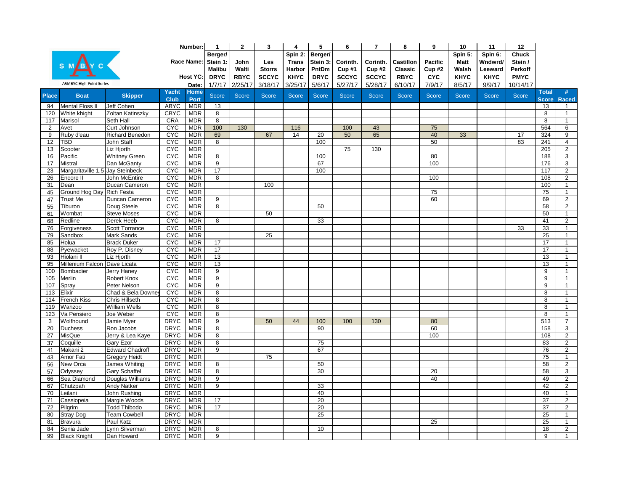|              |                                  |                        |              | Number:    | $\mathbf{1}$   | $\mathbf{2}$ | 3               | 4            | 5            | 6            | $\overline{7}$ | 8            | 9              | 10           | 11           | $12 \,$      |                 |                         |
|--------------|----------------------------------|------------------------|--------------|------------|----------------|--------------|-----------------|--------------|--------------|--------------|----------------|--------------|----------------|--------------|--------------|--------------|-----------------|-------------------------|
|              |                                  |                        |              |            | Berger/        |              |                 | Spin 2:      | Berger/      |              |                |              |                | Spin 5:      | Spin 6:      | Chuck        |                 |                         |
|              |                                  |                        |              | Race Name: | Stein 1:       | John         | Les             | Trans        | Stein 3:     | Corinth.     | Corinth.       | Castillon    | <b>Pacific</b> | Matt         | Wndwrd/      | Stein /      |                 |                         |
|              |                                  |                        |              |            | <b>Malibu</b>  | Walti        | <b>Storrs</b>   | Harbor       | PntDm        | Cup#1        | Cup#2          | Classic      | Cup#2          | Walsh        | Leeward      | Perkoff      |                 |                         |
|              |                                  |                        |              | Host YC:   | <b>DRYC</b>    | <b>RBYC</b>  | <b>SCCYC</b>    | <b>KHYC</b>  | <b>DRYC</b>  | <b>SCCYC</b> | <b>SCCYC</b>   | <b>RBYC</b>  | <b>CYC</b>     | <b>KHYC</b>  | <b>KHYC</b>  | <b>PMYC</b>  |                 |                         |
|              | <b>ASMBYC High Point Series</b>  |                        |              | Date:      | 1/7/17         | 2/25/17      | 3/18/17         | 3/25/17      | 5/6/17       | 5/27/17      | 5/28/17        | 6/10/17      | 7/9/17         | 8/5/17       | 9/9/17       | 10/14/17     |                 |                         |
| <b>Place</b> |                                  |                        | <b>Yacht</b> | Home       | <b>Score</b>   | <b>Score</b> | <b>Score</b>    | <b>Score</b> | <b>Score</b> | <b>Score</b> | <b>Score</b>   | <b>Score</b> | <b>Score</b>   | <b>Score</b> | <b>Score</b> | <b>Score</b> | <b>Total</b>    | #                       |
|              | <b>Boat</b>                      | <b>Skipper</b>         | <b>Club</b>  | Port       |                |              |                 |              |              |              |                |              |                |              |              |              | <b>Score</b>    | <b>Raced</b>            |
| 94           | <b>Mental Floss II</b>           | Jeff Cohen             | ABYC         | <b>MDR</b> | 13             |              |                 |              |              |              |                |              |                |              |              |              | 13              | $\mathbf{1}$            |
| 120          | White khight                     | Zoltan Katinszky       | <b>CBYC</b>  | <b>MDR</b> | 8              |              |                 |              |              |              |                |              |                |              |              |              | 8               | $\mathbf{1}$            |
| 117          | Marisol                          | Seth Hall              | <b>CRA</b>   | <b>MDR</b> | $\overline{8}$ |              |                 |              |              |              |                |              |                |              |              |              | 8               | $\overline{1}$          |
| 2            | Avet                             | Curt Johnson           | <b>CYC</b>   | <b>MDR</b> | 100            | 130          |                 | 116          |              | 100          | 43             |              | 75             |              |              |              | 564             | 6                       |
| 9            | Ruby d'eau                       | Richard Benedon        | <b>CYC</b>   | <b>MDR</b> | 69             |              | 67              | 14           | 20           | 50           | 65             |              | 40             | 33           |              | 17           | 324             | 9                       |
| 12           | TBD                              | John Staff             | <b>CYC</b>   | <b>MDR</b> | 8              |              |                 |              | 100          |              |                |              | 50             |              |              | 83           | 241             | $\overline{4}$          |
| 13           | Scooter                          | Liz Hjorth             | <b>CAC</b>   | <b>MDR</b> |                |              |                 |              |              | 75           | 130            |              |                |              |              |              | 205             | $\overline{2}$          |
| 16           | Pacific                          | <b>Whitney Green</b>   | <b>CYC</b>   | <b>MDR</b> | 8              |              |                 |              | 100          |              |                |              | 80             |              |              |              | 188             | 3                       |
| 17           | Mistral                          | Dan McGanty            | <b>CYC</b>   | <b>MDR</b> | $\overline{9}$ |              |                 |              | 67           |              |                |              | 100            |              |              |              | 176             | 3                       |
| 23           | Margaritaville 1.5 Jay Steinbeck |                        | <b>CAC</b>   | <b>MDR</b> | 17             |              |                 |              | 100          |              |                |              |                |              |              |              | 117             | $\overline{2}$          |
| 26           | Encore II                        | John McEntire          | <b>CYC</b>   | <b>MDR</b> | 8              |              |                 |              |              |              |                |              | 100            |              |              |              | 108             | $\overline{\mathbf{c}}$ |
| 31           | Dean                             | Ducan Cameron          | <b>CYC</b>   | <b>MDR</b> |                |              | 100             |              |              |              |                |              |                |              |              |              | 100             | -1                      |
| 45           | Ground Hog Day Rich Festa        |                        | <b>CYC</b>   | <b>MDR</b> |                |              |                 |              |              |              |                |              | 75             |              |              |              | 75              | $\mathbf{1}$            |
| 47           | <b>Trust Me</b>                  | Duncan Cameron         | <b>CAC</b>   | <b>MDR</b> | 9              |              |                 |              |              |              |                |              | 60             |              |              |              | 69              | $\overline{2}$          |
| 55           | Tiburon                          | Doug Steele            | <b>CYC</b>   | <b>MDR</b> | 8              |              |                 |              | 50           |              |                |              |                |              |              |              | 58              | 2                       |
| 61           | Wombat                           | <b>Steve Moses</b>     | <b>CYC</b>   | <b>MDR</b> |                |              | 50              |              |              |              |                |              |                |              |              |              | 50              | $\overline{1}$          |
| 68           | Redline                          | Derek Heeb             | <b>CAC</b>   | <b>MDR</b> | 8              |              |                 |              | 33           |              |                |              |                |              |              |              | 41              | $\overline{2}$          |
| 76           | Forgiveness                      | Scott Torrance         | <b>CYC</b>   | <b>MDR</b> |                |              |                 |              |              |              |                |              |                |              |              | 33           | 33              | $\mathbf{1}$            |
| 79           | Sandbox                          | Mark Sands             | <b>CAC</b>   | <b>MDR</b> |                |              | 25              |              |              |              |                |              |                |              |              |              | 25              | $\mathbf{1}$            |
| 85           | Holua                            | <b>Brack Duker</b>     | <b>CYC</b>   | <b>MDR</b> | 17             |              |                 |              |              |              |                |              |                |              |              |              | 17              | $\mathbf{1}$            |
| 88           | Pyewacket                        | Roy P. Disney          | <b>CYC</b>   | <b>MDR</b> | 17             |              |                 |              |              |              |                |              |                |              |              |              | 17              | $\mathbf{1}$            |
| 93           | Hiolani II                       | Liz Hjorth             | <b>CYC</b>   | <b>MDR</b> | 13             |              |                 |              |              |              |                |              |                |              |              |              | 13              |                         |
| 95           | Millenium Falcon Dave Licata     |                        | <b>CYC</b>   | <b>MDR</b> | 13             |              |                 |              |              |              |                |              |                |              |              |              | 13              | $\mathbf{1}$            |
| 100          | Bombadier                        | <b>Jerry Haney</b>     | <b>CAC</b>   | <b>MDR</b> | $\overline{9}$ |              |                 |              |              |              |                |              |                |              |              |              | $\overline{9}$  | $\mathbf{1}$            |
| 105          | Merlin                           | Robert Knox            | <b>CYC</b>   | <b>MDR</b> | $\overline{9}$ |              |                 |              |              |              |                |              |                |              |              |              | 9               |                         |
| 107          | Spray                            | Peter Nelson           | <b>CYC</b>   | <b>MDR</b> | $\overline{9}$ |              |                 |              |              |              |                |              |                |              |              |              | 9               | $\mathbf{1}$            |
| 113          | Elixir                           | Chad & Bela Downe      | <b>CYC</b>   | <b>MDR</b> | $\overline{8}$ |              |                 |              |              |              |                |              |                |              |              |              | 8               | $\mathbf{1}$            |
| 114          | French Kiss                      | <b>Chris Hillseth</b>  | <b>CYC</b>   | <b>MDR</b> | 8              |              |                 |              |              |              |                |              |                |              |              |              | 8               | 1                       |
| 119          | Wahzoo                           | <b>William Wells</b>   | <b>CYC</b>   | <b>MDR</b> | $\overline{8}$ |              |                 |              |              |              |                |              |                |              |              |              | $\overline{8}$  | $\mathbf{1}$            |
| 123          | Va Pensiero                      | Joe Weber              | CYC          | <b>MDR</b> | $\overline{8}$ |              |                 |              |              |              |                |              |                |              |              |              | 8               | $\mathbf{1}$            |
| 3            | Wolfhound                        | Jamie Myer             | <b>DRYC</b>  | <b>MDR</b> | $\overline{9}$ |              | 50              | 44           | 100          | 100          | 130            |              | 80             |              |              |              | 513             | $\overline{7}$          |
| 20           | <b>Duchess</b>                   | Ron Jacobs             | <b>DRYC</b>  | <b>MDR</b> | 8              |              |                 |              | 90           |              |                |              | 60             |              |              |              | 158             | 3                       |
| 27           | MisQue                           | Jerry & Lea Kaye       | <b>DRYC</b>  | <b>MDR</b> | $\overline{8}$ |              |                 |              |              |              |                |              | 100            |              |              |              | 108             | $\overline{2}$          |
| 37           | Coquille                         | Gary Ezor              | <b>DRYC</b>  | <b>MDR</b> | 8              |              |                 |              | 75           |              |                |              |                |              |              |              | 83              | $\overline{2}$          |
| 41           | Makani 2                         | <b>Edward Chadroff</b> | <b>DRYC</b>  | <b>MDR</b> | 9              |              |                 |              | 67           |              |                |              |                |              |              |              | 76              | $\overline{2}$          |
| 43           | Amor Fati                        | <b>Gregory Heidt</b>   | <b>DRYC</b>  | <b>MDR</b> |                |              | $\overline{75}$ |              |              |              |                |              |                |              |              |              | $\overline{75}$ | $\mathbf{1}$            |
| 56           | New Orca                         | James Whiting          | <b>DRYC</b>  | <b>MDR</b> | 8              |              |                 |              | 50           |              |                |              |                |              |              |              | 58              | $\overline{2}$          |
| 57           | Odyssey                          | Gary Schaffel          | <b>DRYC</b>  | <b>MDR</b> | 8              |              |                 |              | 30           |              |                |              | 20             |              |              |              | 58              | 3                       |
| 66           | Sea Diamond                      | Douglas Williams       | <b>DRYC</b>  | <b>MDR</b> | 9              |              |                 |              |              |              |                |              | 40             |              |              |              | 49              | $\overline{2}$          |
| 67           | Chutzpah                         | <b>Andy Natker</b>     | <b>DRYC</b>  | <b>MDR</b> | $\overline{9}$ |              |                 |              | 33           |              |                |              |                |              |              |              | 42              | $\overline{2}$          |
| 70           | Leilani                          | John Rushing           | <b>DRYC</b>  | <b>MDR</b> |                |              |                 |              | 40           |              |                |              |                |              |              |              | 40              | $\mathbf{1}$            |
| 71           | Cassiopeia                       | Margie Woods           | <b>DRYC</b>  | <b>MDR</b> | 17             |              |                 |              | 20           |              |                |              |                |              |              |              | $\overline{37}$ | $\overline{2}$          |
| 72           | Pilgrim                          | <b>Todd Thibodo</b>    | <b>DRYC</b>  | <b>MDR</b> | 17             |              |                 |              | 20           |              |                |              |                |              |              |              | 37              | 2                       |
| 80           | <b>Stray Dog</b>                 | <b>Team Cowbell</b>    | <b>DRYC</b>  | <b>MDR</b> |                |              |                 |              | 25           |              |                |              |                |              |              |              | 25              | $\mathbf{1}$            |
| 81           | <b>Bravura</b>                   | Paul Katz              | <b>DRYC</b>  | <b>MDR</b> |                |              |                 |              |              |              |                |              | 25             |              |              |              | 25              |                         |
| 84           | Senia Jade                       | Lynn Silverman         | <b>DRYC</b>  | <b>MDR</b> | 8              |              |                 |              | 10           |              |                |              |                |              |              |              | 18              | $\overline{2}$          |
| 99           | <b>Black Knight</b>              | Dan Howard             | <b>DRYC</b>  | <b>MDR</b> | $\overline{9}$ |              |                 |              |              |              |                |              |                |              |              |              | $\overline{9}$  | $\mathbf{1}$            |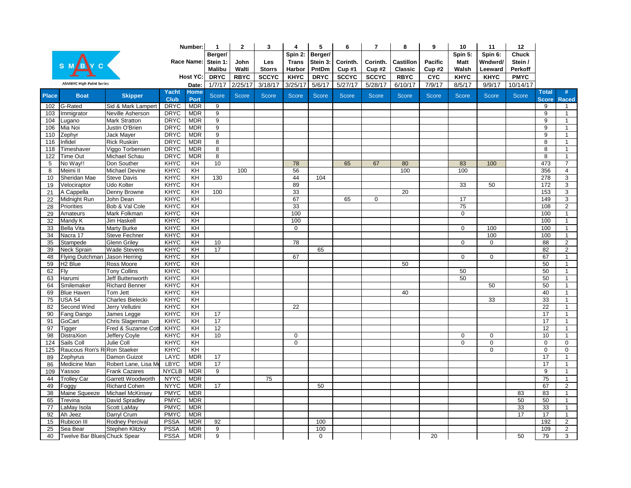|              |                                 |                         |              | Number:        | $\mathbf{1}$        | $\mathbf{2}$ | 3             | 4            | 5            | 6            | $\overline{7}$ | 8               | 9              | 10           | 11           | 12           |                 |                |
|--------------|---------------------------------|-------------------------|--------------|----------------|---------------------|--------------|---------------|--------------|--------------|--------------|----------------|-----------------|----------------|--------------|--------------|--------------|-----------------|----------------|
|              |                                 |                         |              |                | Berger/             |              |               | Spin 2:      | Berger/      |              |                |                 |                | Spin 5:      | Spin 6:      | <b>Chuck</b> |                 |                |
|              |                                 |                         |              |                | Race Name: Stein 1: | John         | Les           | Trans        | Stein 3:     | Corinth.     | Corinth.       | Castillon       | <b>Pacific</b> | <b>Matt</b>  | Wndwrd/      | Stein /      |                 |                |
|              |                                 |                         |              |                | <b>Malibu</b>       | Walti        | <b>Storrs</b> | Harbor       | PntDm        | Cup#1        | Cup#2          | Classic         | Cup#2          | Walsh        | Leeward      | Perkoff      |                 |                |
|              |                                 |                         |              | Host YC:       | <b>DRYC</b>         | <b>RBYC</b>  | <b>SCCYC</b>  | <b>KHYC</b>  | <b>DRYC</b>  | <b>SCCYC</b> | <b>SCCYC</b>   | <b>RBYC</b>     | <b>CYC</b>     | <b>KHYC</b>  | <b>KHYC</b>  | <b>PMYC</b>  |                 |                |
|              | <b>ASMBYC High Point Series</b> |                         |              | Date:          | 1/7/17              | 2/25/17      | 3/18/17       | 3/25/17      | 5/6/17       | 5/27/17      | 5/28/17        | 6/10/17         | 7/9/17         | 8/5/17       | 9/9/17       | 10/14/17     |                 |                |
|              |                                 |                         | Yacht        | <b>Home</b>    |                     |              |               |              |              |              |                |                 |                |              |              |              | <b>Total</b>    | #              |
| <b>Place</b> | <b>Boat</b>                     | <b>Skipper</b>          | <b>Club</b>  | Port           | <b>Score</b>        | <b>Score</b> | <b>Score</b>  | <b>Score</b> | <b>Score</b> | <b>Score</b> | <b>Score</b>   | <b>Score</b>    | <b>Score</b>   | <b>Score</b> | <b>Score</b> | <b>Score</b> | <b>Score</b>    | <b>Raced</b>   |
| 102          | G-Rated                         | Sid & Mark Lampert      | <b>DRYC</b>  | <b>MDR</b>     | $\overline{9}$      |              |               |              |              |              |                |                 |                |              |              |              | 9               | $\mathbf{1}$   |
| 103          | Immigrator                      | Neville Asherson        | <b>DRYC</b>  | <b>MDR</b>     | 9                   |              |               |              |              |              |                |                 |                |              |              |              | 9               | $\mathbf{1}$   |
| 104          | Lugano                          | <b>Mark Stratton</b>    | <b>DRYC</b>  | <b>MDR</b>     | $\overline{9}$      |              |               |              |              |              |                |                 |                |              |              |              | 9               | $\mathbf{1}$   |
| 106          | Mia Noi                         | Justin O'Brien          | <b>DRYC</b>  | <b>MDR</b>     | $\overline{9}$      |              |               |              |              |              |                |                 |                |              |              |              | 9               | $\mathbf{1}$   |
| 110          | Zephyr                          | Jack Mayer              | <b>DRYC</b>  | <b>MDR</b>     | $\overline{9}$      |              |               |              |              |              |                |                 |                |              |              |              | 9               | $\mathbf{1}$   |
| 116          | Infidel                         | <b>Rick Ruskiin</b>     | <b>DRYC</b>  | <b>MDR</b>     | $\overline{8}$      |              |               |              |              |              |                |                 |                |              |              |              | 8               | $\mathbf{1}$   |
| 118          | Timeshaver                      | Viggo Torbensen         | <b>DRYC</b>  | <b>MDR</b>     | $\overline{8}$      |              |               |              |              |              |                |                 |                |              |              |              | 8               | $\mathbf{1}$   |
| 122          | Time Out                        | Michael Schau           | <b>DRYC</b>  | <b>MDR</b>     | $\overline{8}$      |              |               |              |              |              |                |                 |                |              |              |              | 8               | $\mathbf{1}$   |
| 5            | No Way!!                        | Don Souther             | <b>KHYC</b>  | KH             | 10                  |              |               | 78           |              | 65           | 67             | 80              |                | 83           | 100          |              | 473             | $\overline{7}$ |
| 8            | Meimi II                        | <b>Michael Devine</b>   | <b>KHYC</b>  | KH             |                     | 100          |               | 56           |              |              |                | 100             |                | 100          |              |              | 356             | $\overline{4}$ |
| 10           | Sheridan Mae                    | <b>Steve Davis</b>      | <b>KHYC</b>  | KH             | 130                 |              |               | 44           | 104          |              |                |                 |                |              |              |              | 278             | 3              |
| 19           | Velociraptor                    | Udo Kolter              | <b>KHYC</b>  | KH             |                     |              |               | 89           |              |              |                |                 |                | 33           | 50           |              | 172             | 3              |
| 21           | A Cappella                      | Denny Browne            | <b>KHYC</b>  | $\overline{K}$ | 100                 |              |               | 33           |              |              |                | $\overline{20}$ |                |              |              |              | 153             | 3              |
| 22           | Midnight Run                    | John Dean               | <b>KHYC</b>  | KH             |                     |              |               | 67           |              | 65           | $\mathbf 0$    |                 |                | 17           |              |              | 149             | 3              |
| 28           | Priorities                      | Bob & Val Cole          | <b>KHYC</b>  | KH             |                     |              |               | 33           |              |              |                |                 |                | 75           |              |              | 108             | $\overline{2}$ |
| 29           | Amateurs                        | Mark Folkman            | <b>KHYC</b>  | KH             |                     |              |               | 100          |              |              |                |                 |                | 0            |              |              | 100             | $\mathbf{1}$   |
| 32           | Mandy K                         | Jim Haskell             | KHYC         | KH             |                     |              |               | 100          |              |              |                |                 |                |              |              |              | 100             | $\mathbf{1}$   |
| 33           | <b>Bella Vita</b>               | Marty Burke             | <b>KHYC</b>  | KH             |                     |              |               | $\mathbf 0$  |              |              |                |                 |                | 0            | 100          |              | 100             | $\mathbf{1}$   |
| 34           | Nacra 17                        | Steve Fechner           | <b>KHYC</b>  | $\overline{K}$ |                     |              |               |              |              |              |                |                 |                |              | 100          |              | 100             | $\mathbf{1}$   |
| 35           | Stampede                        | <b>Glenn Griley</b>     | <b>KHYC</b>  | KH             | 10                  |              |               | 78           |              |              |                |                 |                | $\mathbf 0$  | $\mathbf 0$  |              | 88              | 2              |
| 39           | Neck Sprain                     | <b>Wade Stevens</b>     | <b>KHYC</b>  | KH             | 17                  |              |               |              | 65           |              |                |                 |                |              |              |              | 82              | $\overline{c}$ |
| 48           | Flying Dutchman Jason Herring   |                         | <b>KHYC</b>  | KH             |                     |              |               | 67           |              |              |                |                 |                | 0            | 0            |              | 67              | $\mathbf{1}$   |
| 59           | H <sub>2</sub> Blue             | Ross Moore              | <b>KHYC</b>  | $\overline{K}$ |                     |              |               |              |              |              |                | 50              |                |              |              |              | 50              | $\mathbf{1}$   |
| 62           | Fly                             | <b>Tony Collins</b>     | <b>KHYC</b>  | $\overline{K}$ |                     |              |               |              |              |              |                |                 |                | 50           |              |              | 50              | $\mathbf{1}$   |
| 63           | Harumi                          | Jeff Buttenworth        | <b>KHYC</b>  | KH             |                     |              |               |              |              |              |                |                 |                | 50           |              |              | 50              | $\mathbf{1}$   |
| 64           | Smilemaker                      | <b>Richard Benner</b>   | <b>KHYC</b>  | KH             |                     |              |               |              |              |              |                |                 |                |              | 50           |              | 50              | $\mathbf{1}$   |
| 69           | <b>Blue Haven</b>               | Tom Jett                | <b>KHYC</b>  | $\overline{K}$ |                     |              |               |              |              |              |                | 40              |                |              |              |              | 40              | $\mathbf{1}$   |
| 75           | <b>USA 54</b>                   | <b>Charles Bielecki</b> | <b>KHYC</b>  | $\overline{K}$ |                     |              |               |              |              |              |                |                 |                |              | 33           |              | 33              | $\mathbf{1}$   |
| 82           | Second Wind                     | Jerry Vellutini         | <b>KHYC</b>  | KH             |                     |              |               | 22           |              |              |                |                 |                |              |              |              | $\overline{22}$ | $\mathbf{1}$   |
| 90           | Fang Dango                      | James Legge             | <b>KHYC</b>  | $\overline{K}$ | 17                  |              |               |              |              |              |                |                 |                |              |              |              | 17              | $\mathbf{1}$   |
| 91           | GoCart                          | Chris Slagerman         | <b>KHYC</b>  | KH             | 17                  |              |               |              |              |              |                |                 |                |              |              |              | 17              | $\mathbf{1}$   |
| 97           | Tigger                          | Fred & Suzanne Cot      | <b>KHYC</b>  | KH             | 12                  |              |               |              |              |              |                |                 |                |              |              |              | 12              | $\mathbf{1}$   |
| 98           | <b>DistraXion</b>               | Jeffery Coyle           | <b>KHYC</b>  | KH             | 10                  |              |               | $\mathbf 0$  |              |              |                |                 |                | 0            | $\mathbf 0$  |              | 10              | $\mathbf{1}$   |
| 124          | Sails Coll                      | Julie Coll              | <b>KHYC</b>  | $\overline{K}$ |                     |              |               | $\mathbf 0$  |              |              |                |                 |                | 0            | 0            |              | $\overline{0}$  | $\overline{0}$ |
| 125          | Raucous Ron's R. Ron Staeker    |                         | <b>KHYC</b>  | KH             |                     |              |               |              |              |              |                |                 |                |              | $\mathbf 0$  |              | $\mathbf 0$     | $\mathbf 0$    |
| 89           | Zephyrus                        | Damon Guizot            | LAYC         | <b>MDR</b>     | 17                  |              |               |              |              |              |                |                 |                |              |              |              | 17              | $\mathbf{1}$   |
| 86           | Medicine Man                    | Robert Lane, Lisa Me    | LBYC         | <b>MDR</b>     | 17                  |              |               |              |              |              |                |                 |                |              |              |              | 17              | $\mathbf{1}$   |
| 109          | Yassoo                          | <b>Frank Cazares</b>    | <b>NYCLB</b> | <b>MDR</b>     | 9                   |              |               |              |              |              |                |                 |                |              |              |              | 9               | $\mathbf{1}$   |
| 44           | <b>Trolley Car</b>              | Garrett Woodworth       | <b>NYYC</b>  | <b>MDR</b>     |                     |              | 75            |              |              |              |                |                 |                |              |              |              | 75              | $\mathbf{1}$   |
| 49           | Foggy                           | <b>Richard Cohen</b>    | <b>NYYC</b>  | <b>MDR</b>     | 17                  |              |               |              | 50           |              |                |                 |                |              |              |              | 67              | 2              |
| 38           | Maine Squeeze                   | Michael McKinsey        | <b>PMYC</b>  | <b>MDR</b>     |                     |              |               |              |              |              |                |                 |                |              |              | 83           | 83              | $\mathbf{1}$   |
| 65           | Trevina                         | David Spradley          | <b>PMYC</b>  | <b>MDR</b>     |                     |              |               |              |              |              |                |                 |                |              |              | 50           | 50              | $\mathbf{1}$   |
| 77           | LaMay Isola                     | Scott LaMay             | <b>PMYC</b>  | <b>MDR</b>     |                     |              |               |              |              |              |                |                 |                |              |              | 33           | 33              | $\mathbf{1}$   |
| 92           | Ah Jeez                         | Darryl Crum             | <b>PMYC</b>  | <b>MDR</b>     |                     |              |               |              |              |              |                |                 |                |              |              | 17           | 17              | $\mathbf{1}$   |
| 15           | Rubicon III                     | Rodney Percival         | <b>PSSA</b>  | <b>MDR</b>     | 92                  |              |               |              | 100          |              |                |                 |                |              |              |              | 192             | $\overline{2}$ |
| 25           | Sea Bear                        | Stephen Klitzky         | <b>PSSA</b>  | <b>MDR</b>     | 9                   |              |               |              | 100          |              |                |                 |                |              |              |              | 109             | 2              |
| 40           | Twelve Bar Blues Chuck Spear    |                         | <b>PSSA</b>  | <b>MDR</b>     | $\overline{9}$      |              |               |              | $\mathbf 0$  |              |                |                 | 20             |              |              | 50           | 79              | $\overline{3}$ |
|              |                                 |                         |              |                |                     |              |               |              |              |              |                |                 |                |              |              |              |                 |                |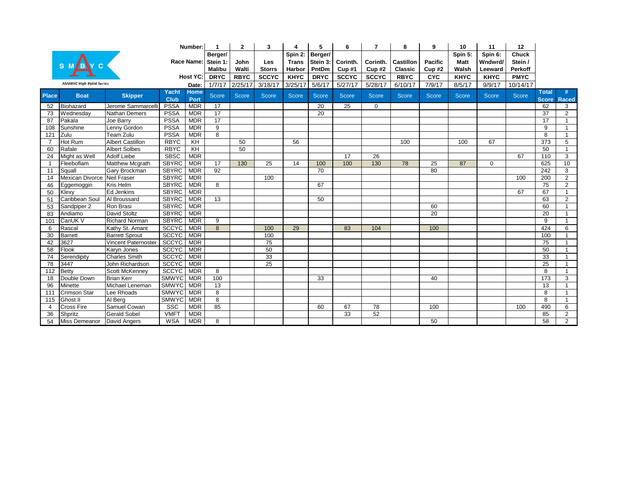|                |                                 |                            |               | Number:             |                 | 2           | 3             |              | 5               | 6            |              | 8                | 9              | 10           | 11           | 12           |                              |                   |
|----------------|---------------------------------|----------------------------|---------------|---------------------|-----------------|-------------|---------------|--------------|-----------------|--------------|--------------|------------------|----------------|--------------|--------------|--------------|------------------------------|-------------------|
|                |                                 |                            |               |                     | Berger/         |             |               | Spin 2:      | Berger/         |              |              |                  |                | Spin 5:      | Spin 6:      | <b>Chuck</b> |                              |                   |
|                |                                 |                            |               | Race Name:          | Stein 1:        | John        | Les           | <b>Trans</b> | Stein 3:        | Corinth.     | Corinth.     | <b>Castillon</b> | <b>Pacific</b> | <b>Matt</b>  | Wndwrd/      | Stein /      |                              |                   |
|                |                                 |                            |               |                     | <b>Malibu</b>   | Walti       | <b>Storrs</b> | Harbor       | PntDm           | Cup#1        | Cup#2        | Classic          | Cup#2          | Walsh        | Leeward      | Perkoff      |                              |                   |
|                |                                 |                            |               | Host YC:            | <b>DRYC</b>     | <b>RBYC</b> | <b>SCCYC</b>  | <b>KHYC</b>  | <b>DRYC</b>     | <b>SCCYC</b> | <b>SCCYC</b> | <b>RBYC</b>      | <b>CYC</b>     | <b>KHYC</b>  | <b>KHYC</b>  | <b>PMYC</b>  |                              |                   |
|                | <b>ASMBYC High Point Series</b> |                            |               | Date:               | 1/7/17          | 2/25/17     | 3/18/17       | 3/25/17      | 5/6/17          | 5/27/17      | 5/28/17      | 6/10/17          | 7/9/17         | 8/5/17       | 9/9/17       | 10/14/17     |                              |                   |
| <b>Place</b>   | <b>Boat</b>                     | <b>Skipper</b>             | Yacht<br>Club | <b>Home</b><br>Port | <b>Score</b>    | Score       | <b>Score</b>  | Score        | <b>Score</b>    | <b>Score</b> | <b>Score</b> | <b>Score</b>     | <b>Score</b>   | <b>Score</b> | <b>Score</b> | <b>Score</b> | <b>Total</b><br><b>Score</b> | #<br><b>Raced</b> |
| 52             | Biohazard                       | Jerome Sammarcell          | <b>PSSA</b>   | <b>MDR</b>          | $\overline{17}$ |             |               |              | 20              | 25           | $\mathbf{0}$ |                  |                |              |              |              | 62                           | 3                 |
| 73             | Wednesday                       | Nathan Demers              | <b>PSSA</b>   | <b>MDR</b>          | 17              |             |               |              | $\overline{20}$ |              |              |                  |                |              |              |              | $\overline{37}$              | $\overline{2}$    |
| 87             | Pakala                          | Joe Barry                  | <b>PSSA</b>   | <b>MDR</b>          | 17              |             |               |              |                 |              |              |                  |                |              |              |              | $\overline{17}$              | $\mathbf{1}$      |
| 108            | Sunshine                        | Lenny Gordon               | <b>PSSA</b>   | <b>MDR</b>          | $\overline{9}$  |             |               |              |                 |              |              |                  |                |              |              |              | 9                            | $\mathbf{1}$      |
| 121            | Zulu                            | <b>Team Zulu</b>           | <b>PSSA</b>   | <b>MDR</b>          | $\overline{8}$  |             |               |              |                 |              |              |                  |                |              |              |              | 8                            | $\overline{1}$    |
| $\overline{7}$ | Hot Rum                         | <b>Albert Castillon</b>    | <b>RBYC</b>   | $\overline{K}$      |                 | 50          |               | 56           |                 |              |              | 100              |                | 100          | 67           |              | $\overline{373}$             | 5                 |
| 60             | Rafale                          | <b>Albert Solbes</b>       | <b>RBYC</b>   | KH                  |                 | 50          |               |              |                 |              |              |                  |                |              |              |              | 50                           | $\mathbf{1}$      |
| 24             | Might as Well                   | <b>Adolf Liebe</b>         | <b>SBSC</b>   | <b>MDR</b>          |                 |             |               |              |                 | 17           | 26           |                  |                |              |              | 67           | 110                          | 3                 |
| $\overline{1}$ | Fleeboflam                      | <b>Matthew Mcgrath</b>     | <b>SBYRC</b>  | <b>MDR</b>          | $\overline{17}$ | 130         | 25            | 14           | 100             | 100          | 130          | 78               | 25             | 87           | $\mathbf 0$  |              | 625                          | 10                |
| 11             | Squall                          | Gary Brockman              | <b>SBYRC</b>  | <b>MDR</b>          | 92              |             |               |              | 70              |              |              |                  | 80             |              |              |              | $\overline{242}$             | 3                 |
| 14             | Mexican Divorce Neil Fraser     |                            | <b>SBYRC</b>  | <b>MDR</b>          |                 |             | 100           |              |                 |              |              |                  |                |              |              | 100          | 200                          | $\overline{2}$    |
| 46             | Eggemoggin                      | Kris Helm                  | <b>SBYRC</b>  | <b>MDR</b>          | $\overline{8}$  |             |               |              | 67              |              |              |                  |                |              |              |              | 75                           | $\overline{2}$    |
| 50             | Klexy                           | <b>Ed Jenkins</b>          | <b>SBYRC</b>  | <b>MDR</b>          |                 |             |               |              |                 |              |              |                  |                |              |              | 67           | 67                           | $\mathbf{1}$      |
| 51             | Caribbean Soul                  | Al Broussard               | <b>SBYRC</b>  | <b>MDR</b>          | 13              |             |               |              | 50              |              |              |                  |                |              |              |              | 63                           | $\overline{2}$    |
| 53             | Sandpiper 2                     | Ron Brasi                  | <b>SBYRC</b>  | <b>MDR</b>          |                 |             |               |              |                 |              |              |                  | 60             |              |              |              | 60                           | $\overline{1}$    |
| 83             | Andiamo                         | David Stoltz               | <b>SBYRC</b>  | <b>MDR</b>          |                 |             |               |              |                 |              |              |                  | 20             |              |              |              | 20                           | $\overline{1}$    |
| 101            | CanUK V                         | <b>Richard Norman</b>      | <b>SBYRC</b>  | <b>MDR</b>          | 9               |             |               |              |                 |              |              |                  |                |              |              |              | $\overline{9}$               | $\mathbf{1}$      |
| 6              | Rascal                          | Kathy St. Amant            | <b>SCCYC</b>  | <b>MDR</b>          | $\overline{8}$  |             | 100           | 29           |                 | 83           | 104          |                  | 100            |              |              |              | 424                          | 6                 |
| 30             | <b>Barrett</b>                  | <b>Barrett Sprout</b>      | <b>SCCYC</b>  | <b>MDR</b>          |                 |             | 100           |              |                 |              |              |                  |                |              |              |              | 100                          |                   |
| 42             | 3627                            | <b>Vincent Paternoster</b> | <b>SCCYC</b>  | <b>MDR</b>          |                 |             | 75            |              |                 |              |              |                  |                |              |              |              | $\overline{75}$              |                   |
| 58             | Flook                           | Karyn Jones                | <b>SCCYC</b>  | <b>MDR</b>          |                 |             | 50            |              |                 |              |              |                  |                |              |              |              | 50                           | $\overline{1}$    |
| 74             | Serendipity                     | <b>Charles Smith</b>       | <b>SCCYC</b>  | <b>MDR</b>          |                 |             | 33            |              |                 |              |              |                  |                |              |              |              | 33                           | $\mathbf{1}$      |
| 78             | 3447                            | John Richardson            | <b>SCCYC</b>  | <b>MDR</b>          |                 |             | 25            |              |                 |              |              |                  |                |              |              |              | $\overline{25}$              | $\overline{1}$    |
| 112            | <b>Betty</b>                    | <b>Scott McKenney</b>      | <b>SCCYC</b>  | <b>MDR</b>          | $\overline{8}$  |             |               |              |                 |              |              |                  |                |              |              |              | 8                            | $\mathbf{1}$      |
| 18             | Double Down                     | <b>Brian Kerr</b>          | <b>SMWYC</b>  | <b>MDR</b>          | 100             |             |               |              | 33              |              |              |                  | 40             |              |              |              | 173                          | 3                 |
| 96             | Minette                         | Michael Leneman            | <b>SMWYC</b>  | <b>MDR</b>          | 13              |             |               |              |                 |              |              |                  |                |              |              |              | 13                           | $\mathbf{1}$      |
| 111            | Crimson Star                    | Lee Rhoads                 | <b>SMWYC</b>  | <b>MDR</b>          | $\overline{8}$  |             |               |              |                 |              |              |                  |                |              |              |              | 8                            | $\mathbf{1}$      |
| 115            | Ghost II                        | Al Berg                    | <b>SMWYC</b>  | <b>MDR</b>          | $\overline{8}$  |             |               |              |                 |              |              |                  |                |              |              |              | 8                            | $\overline{1}$    |
| 4              | <b>Cross Fire</b>               | Samuel Cowan               | <b>SSC</b>    | <b>MDR</b>          | 85              |             |               |              | 60              | 67           | 78           |                  | 100            |              |              | 100          | 490                          | 6                 |
| 36             | Shpritz                         | <b>Gerald Sobel</b>        | <b>VMFT</b>   | <b>MDR</b>          |                 |             |               |              |                 | 33           | 52           |                  |                |              |              |              | 85                           | $\overline{2}$    |
| 54             | Miss Demeanor                   | David Angers               | <b>WSA</b>    | <b>MDR</b>          | 8               |             |               |              |                 |              |              |                  | 50             |              |              |              | 58                           | $\overline{2}$    |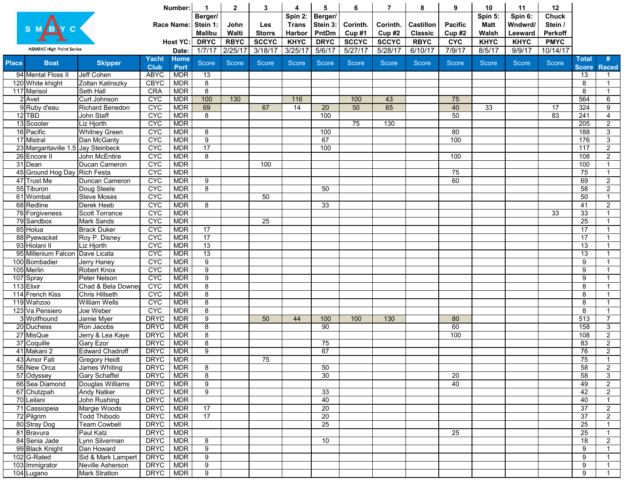|              |                                     |                                            |                            | Number:                  | 1                       | $\overline{2}$ | 3             | 4            | 5               | 6               | 7            | 8                | 9               | 10              | 11           | 12              |                    |                |
|--------------|-------------------------------------|--------------------------------------------|----------------------------|--------------------------|-------------------------|----------------|---------------|--------------|-----------------|-----------------|--------------|------------------|-----------------|-----------------|--------------|-----------------|--------------------|----------------|
|              |                                     |                                            |                            |                          | Berger/                 |                |               | Spin 2:      | Berger/         |                 |              |                  |                 | Spin 5:         | Spin 6:      | <b>Chuck</b>    |                    |                |
|              |                                     |                                            |                            | <b>Race Name:</b>        | Stein 1:                | John           | Les           | <b>Trans</b> | Stein 3:        | Corinth.        | Corinth.     | <b>Castillon</b> | <b>Pacific</b>  | <b>Matt</b>     | Wndwrd/      | Stein /         |                    |                |
|              |                                     |                                            |                            |                          | <b>Malibu</b>           | Walti          | <b>Storrs</b> | Harbor       | PntDm           | Cup#1           | Cup#2        | <b>Classic</b>   | Cup#2           | Walsh           | Leeward      | <b>Perkoff</b>  |                    |                |
|              |                                     |                                            |                            | <b>Host YC:</b>          | <b>DRYC</b>             | <b>RBYC</b>    | <b>SCCYC</b>  | <b>KHYC</b>  | <b>DRYC</b>     | <b>SCCYC</b>    | <b>SCCYC</b> | <b>RBYC</b>      | <b>CYC</b>      | <b>KHYC</b>     | <b>KHYC</b>  | <b>PMYC</b>     |                    |                |
|              | <b>ASMBYC High Point Series</b>     |                                            |                            | Date:                    | 1/7/17                  | 2/25/17        | 3/18/17       | 3/25/17      | 5/6/17          | 5/27/17         | 5/28/17      | 6/10/17          | 7/9/17          | 8/5/17          | 9/9/17       | 10/14/17        |                    |                |
| <b>Place</b> | <b>Boat</b>                         | <b>Skipper</b>                             | <b>Yacht</b>               | <b>Home</b>              | Score                   | Score          | Score         | Score        | Score           | Score           | <b>Score</b> | <b>Score</b>     | <b>Score</b>    | <b>Score</b>    | <b>Score</b> | Score           | <b>Total</b>       | #              |
|              | 94 Mental Floss II                  | <b>Jeff Cohen</b>                          | <b>Club</b><br><b>ABYC</b> | Port<br><b>MDR</b>       | 13                      |                |               |              |                 |                 |              |                  |                 |                 |              |                 | <b>Score</b><br>13 | <b>Raced</b>   |
|              | 120 White khight                    | Zoltan Katinszky                           | <b>CBYC</b>                | <b>MDR</b>               | 8                       |                |               |              |                 |                 |              |                  |                 |                 |              |                 | 8                  |                |
|              | 117 Marisol                         | <b>Seth Hall</b>                           | <b>CRA</b>                 | <b>MDR</b>               | 8                       |                |               |              |                 |                 |              |                  |                 |                 |              |                 | 8                  | $\overline{1}$ |
|              | $2$ Avet                            | Curt Johnson                               | <b>CYC</b>                 | <b>MDR</b>               | 100                     | 130            |               | 116          |                 | 100             | 43           |                  | 75              |                 |              |                 | 564                | 6              |
|              | 9 Ruby d'eau                        | <b>Richard Benedon</b>                     | <b>CYC</b>                 | <b>MDR</b>               | 69                      |                | 67            | 14           | $\overline{20}$ | $\overline{50}$ | 65           |                  | 40              | $\overline{33}$ |              | $\overline{17}$ | 324                | $\overline{9}$ |
|              | $12$ TBD                            | John Staff                                 | <b>CYC</b>                 | <b>MDR</b>               | 8                       |                |               |              | 100             |                 |              |                  | 50              |                 |              | 83              | 241                | $\overline{4}$ |
|              | 13 Scooter                          | Liz Hjorth                                 | <b>CYC</b>                 | <b>MDR</b>               |                         |                |               |              |                 | $\overline{75}$ | 130          |                  |                 |                 |              |                 | 205                | $\overline{2}$ |
|              | 16 Pacific                          | <b>Whitney Green</b>                       | <b>CYC</b>                 | <b>MDR</b>               | 8                       |                |               |              | 100             |                 |              |                  | 80              |                 |              |                 | 188                | $\overline{3}$ |
|              | 17 Mistral                          | Dan McGanty                                | <b>CYC</b>                 | <b>MDR</b>               | $\overline{9}$          |                |               |              | 67              |                 |              |                  | 100             |                 |              |                 | 176                | $\overline{3}$ |
|              | 23 Margaritaville 1.5 Jay Steinbeck |                                            | <b>CYC</b>                 | <b>MDR</b>               | 17                      |                |               |              | 100             |                 |              |                  |                 |                 |              |                 | 117                | $\overline{2}$ |
|              | 26 Encore II                        | John McEntire                              | <b>CYC</b>                 | <b>MDR</b>               | 8                       |                |               |              |                 |                 |              |                  | 100             |                 |              |                 | 108                | $\overline{2}$ |
|              | 31 Dean                             | Ducan Cameron                              | <b>CYC</b>                 | <b>MDR</b>               |                         |                | 100           |              |                 |                 |              |                  |                 |                 |              |                 | 100                | $\overline{1}$ |
|              | 45 Ground Hog Day                   | <b>Rich Festa</b>                          | <b>CYC</b>                 | <b>MDR</b>               |                         |                |               |              |                 |                 |              |                  | 75              |                 |              |                 | 75                 | $\overline{1}$ |
|              | 47 Trust Me                         | Duncan Cameron                             | <b>CYC</b>                 | <b>MDR</b>               | 9                       |                |               |              |                 |                 |              |                  | 60              |                 |              |                 | 69                 | $\overline{2}$ |
|              | 55 Tiburon                          | Doug Steele                                | <b>CYC</b>                 | <b>MDR</b>               | $\overline{8}$          |                |               |              | 50              |                 |              |                  |                 |                 |              |                 | 58                 | $\overline{2}$ |
|              | 61 Wombat                           | <b>Steve Moses</b>                         | <b>CYC</b>                 | <b>MDR</b>               |                         |                | 50            |              |                 |                 |              |                  |                 |                 |              |                 | 50                 | -1             |
|              | 68 Redline                          | Derek Heeb                                 | <b>CYC</b>                 | <b>MDR</b>               | 8                       |                |               |              | 33              |                 |              |                  |                 |                 |              |                 | 41                 | $\overline{2}$ |
|              | 76 Forgiveness                      | <b>Scott Torrance</b>                      | <b>CYC</b>                 | <b>MDR</b>               |                         |                |               |              |                 |                 |              |                  |                 |                 |              | 33              | 33                 |                |
|              | $\overline{79}$ Sandbox             | Mark Sands                                 | <b>CYC</b>                 | <b>MDR</b>               |                         |                | 25            |              |                 |                 |              |                  |                 |                 |              |                 | 25                 |                |
|              | 85 Holua                            | <b>Brack Duker</b>                         | <b>CYC</b>                 | <b>MDR</b>               | 17                      |                |               |              |                 |                 |              |                  |                 |                 |              |                 | 17                 |                |
|              | 88 Pyewacket                        | Roy P. Disney                              | <b>CYC</b>                 | <b>MDR</b>               | 17                      |                |               |              |                 |                 |              |                  |                 |                 |              |                 | 17                 |                |
|              | 93 Hiolani II                       | Liz Hjorth                                 | <b>CYC</b>                 | <b>MDR</b>               | 13                      |                |               |              |                 |                 |              |                  |                 |                 |              |                 | 13                 |                |
|              | 95 Millenium Falcon                 | Dave Licata                                | <b>CYC</b>                 | <b>MDR</b>               | 13                      |                |               |              |                 |                 |              |                  |                 |                 |              |                 | 13                 |                |
|              | 100 Bombadier                       | Jerry Haney                                | <b>CYC</b>                 | <b>MDR</b>               | $\boldsymbol{9}$        |                |               |              |                 |                 |              |                  |                 |                 |              |                 | 9                  |                |
|              | 105 Merlin                          | Robert Knox                                | <b>CYC</b>                 | <b>MDR</b>               | $\overline{9}$          |                |               |              |                 |                 |              |                  |                 |                 |              |                 | 9                  |                |
|              | 107 Spray                           | Peter Nelson                               | <b>CYC</b>                 | <b>MDR</b>               | 9                       |                |               |              |                 |                 |              |                  |                 |                 |              |                 | 9                  |                |
|              | 113 Elixir<br>114 French Kiss       | Chad & Bela Downe<br><b>Chris Hillseth</b> | <b>CYC</b><br><b>CYC</b>   | <b>MDR</b><br><b>MDR</b> | $\bf 8$<br>8            |                |               |              |                 |                 |              |                  |                 |                 |              |                 | 8<br>8             |                |
|              | 119 Wahzoo                          | <b>William Wells</b>                       | <b>CYC</b>                 | <b>MDR</b>               | 8                       |                |               |              |                 |                 |              |                  |                 |                 |              |                 | 8                  |                |
|              | 123 Va Pensiero                     | Joe Weber                                  | <b>CYC</b>                 | <b>MDR</b>               | $\overline{8}$          |                |               |              |                 |                 |              |                  |                 |                 |              |                 | 8                  |                |
|              | 3 Wolfhound                         | Jamie Myer                                 | <b>DRYC</b>                | <b>MDR</b>               | $\overline{9}$          |                | 50            | 44           | 100             | 100             | 130          |                  | 80              |                 |              |                 | 513                | $\overline{7}$ |
|              | 20 Duchess                          | Ron Jacobs                                 | <b>DRYC</b>                | <b>MDR</b>               | $\overline{8}$          |                |               |              | 90              |                 |              |                  | 60              |                 |              |                 | 158                | $\overline{3}$ |
|              | 27 MisQue                           | Jerry & Lea Kaye                           | <b>DRYC</b>                | <b>MDR</b>               | $\overline{8}$          |                |               |              |                 |                 |              |                  | 100             |                 |              |                 | 108                | $\overline{2}$ |
|              | 37 Coquille                         | Gary Ezor                                  | <b>DRYC</b>                | <b>MDR</b>               | $\overline{8}$          |                |               |              | 75              |                 |              |                  |                 |                 |              |                 | 83                 | $\overline{2}$ |
|              | 41 Makani 2                         | <b>Edward Chadroff</b>                     | <b>DRYC</b>                | <b>MDR</b>               | $\overline{9}$          |                |               |              | 67              |                 |              |                  |                 |                 |              |                 | 76                 | $\overline{2}$ |
|              | 43 Amor Fati                        | <b>Gregory Heidt</b>                       | <b>DRYC</b>                | <b>MDR</b>               |                         |                | 75            |              |                 |                 |              |                  |                 |                 |              |                 | 75                 |                |
|              | 56 New Orca                         | <b>James Whiting</b>                       | <b>DRYC</b>                | <b>MDR</b>               | $\overline{\mathbf{8}}$ |                |               |              | 50              |                 |              |                  |                 |                 |              |                 | 58                 | $\overline{2}$ |
|              | 57 Odyssey                          | <b>Gary Schaffel</b>                       | <b>DRYC</b>                | <b>MDR</b>               | $\bf 8$                 |                |               |              | 30              |                 |              |                  | $\overline{20}$ |                 |              |                 | 58                 | $\mathbf{3}$   |
|              | 66 Sea Diamond                      | Douglas Williams                           | <b>DRYC</b>                | <b>MDR</b>               | $\overline{9}$          |                |               |              |                 |                 |              |                  | 40              |                 |              |                 | 49                 | $\overline{2}$ |
|              | 67 Chutzpah                         | <b>Andy Natker</b>                         | <b>DRYC</b>                | <b>MDR</b>               | $\overline{9}$          |                |               |              | $\overline{33}$ |                 |              |                  |                 |                 |              |                 | 42                 | $\overline{2}$ |
|              | 70 Leilani                          | John Rushing                               | <b>DRYC</b>                | <b>MDR</b>               |                         |                |               |              | 40              |                 |              |                  |                 |                 |              |                 | 40                 |                |
|              | 71 Cassiopeia                       | Margie Woods                               | <b>DRYC</b>                | <b>MDR</b>               | 17                      |                |               |              | $\overline{20}$ |                 |              |                  |                 |                 |              |                 | $\overline{37}$    | $\overline{2}$ |
|              | 72 Pilgrim                          | <b>Todd Thibodo</b>                        | <b>DRYC</b>                | <b>MDR</b>               | 17                      |                |               |              | $\overline{20}$ |                 |              |                  |                 |                 |              |                 | $\overline{37}$    | $\overline{2}$ |
|              | 80 Stray Dog                        | <b>Team Cowbell</b>                        | <b>DRYC</b>                | <b>MDR</b>               |                         |                |               |              | $\overline{25}$ |                 |              |                  |                 |                 |              |                 | $\overline{25}$    | $\overline{1}$ |
|              | 81 Bravura                          | Paul Katz                                  | <b>DRYC</b>                | <b>MDR</b>               |                         |                |               |              |                 |                 |              |                  | $\overline{25}$ |                 |              |                 | $\overline{25}$    |                |
|              | 84 Senia Jade                       | Lynn Silverman                             | <b>DRYC</b>                | <b>MDR</b>               | 8                       |                |               |              | 10              |                 |              |                  |                 |                 |              |                 | 18                 | $\overline{2}$ |
|              | 99 Black Knight                     | Dan Howard                                 | <b>DRYC</b>                | <b>MDR</b>               | $\overline{9}$          |                |               |              |                 |                 |              |                  |                 |                 |              |                 | 9                  |                |
|              | 102 G-Rated                         | Sid & Mark Lampert                         | <b>DRYC</b>                | <b>MDR</b>               | $\overline{9}$          |                |               |              |                 |                 |              |                  |                 |                 |              |                 | 9                  |                |
|              | 103 Immigrator                      | Neville Asherson                           | <b>DRYC</b>                | <b>MDR</b>               | $\overline{9}$          |                |               |              |                 |                 |              |                  |                 |                 |              |                 | 9                  |                |
|              | 104 Lugano                          | Mark Stratton                              | <b>DRYC</b>                | <b>MDR</b>               | $\overline{9}$          |                |               |              |                 |                 |              |                  |                 |                 |              |                 | $\overline{9}$     |                |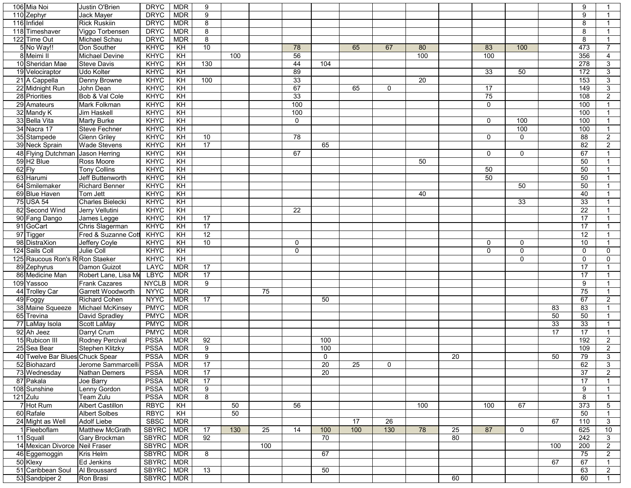| 106 Mia Noi                     | Justin O'Brien           | <b>DRYC</b>  | <b>MDR</b>      | 9                   |     |     |                 |                 |     |             |                 |    |              |              |                 | 9               |                 |
|---------------------------------|--------------------------|--------------|-----------------|---------------------|-----|-----|-----------------|-----------------|-----|-------------|-----------------|----|--------------|--------------|-----------------|-----------------|-----------------|
| 110 Zephyr                      | Jack Mayer               | <b>DRYC</b>  | <b>MDR</b>      | 9                   |     |     |                 |                 |     |             |                 |    |              |              |                 | 9               |                 |
| 116 Infidel                     | <b>Rick Ruskiin</b>      | <b>DRYC</b>  | <b>MDR</b>      | 8                   |     |     |                 |                 |     |             |                 |    |              |              |                 | 8               |                 |
| 118 Timeshaver                  | Viggo Torbensen          | <b>DRYC</b>  | <b>MDR</b>      | 8                   |     |     |                 |                 |     |             |                 |    |              |              |                 | 8               |                 |
| 122 Time Out                    | <b>Michael Schau</b>     | <b>DRYC</b>  | <b>MDR</b>      | $\overline{\infty}$ |     |     |                 |                 |     |             |                 |    |              |              |                 | $\overline{8}$  | $\overline{1}$  |
| 5 No Way!!                      | Don Souther              | <b>KHYC</b>  | $\overline{KH}$ | 10                  |     |     | 78              |                 | 65  | 67          | 80              |    | 83           | 100          |                 | 473             | $\overline{7}$  |
| 8 Meimi II                      | Michael Devine           | <b>KHYC</b>  | $\overline{KH}$ |                     | 100 |     | 56              |                 |     |             | 100             |    | 100          |              |                 | 356             | $\overline{4}$  |
| 10 Sheridan Mae                 | <b>Steve Davis</b>       | KHYC         | $\overline{KH}$ | 130                 |     |     | 44              | 104             |     |             |                 |    |              |              |                 | 278             | $\overline{3}$  |
| 19 Velociraptor                 | Udo Kolter               | <b>KHYC</b>  | $\overline{KH}$ |                     |     |     | 89              |                 |     |             |                 |    | 33           | 50           |                 | 172             | $\overline{3}$  |
| 21 A Cappella                   | Denny Browne             | KHYC         | $\overline{KH}$ | 100                 |     |     | 33              |                 |     |             | $\overline{20}$ |    |              |              |                 | 153             | $\overline{3}$  |
| 22 Midnight Run                 | John Dean                | KHYC         | KH              |                     |     |     | 67              |                 | 65  | $\mathbf 0$ |                 |    | 17           |              |                 | 149             | 3 <sup>1</sup>  |
| 28 Priorities                   | Bob & Val Cole           | KHYC         | KH              |                     |     |     | 33              |                 |     |             |                 |    | 75           |              |                 | 108             | $\overline{2}$  |
| 29 Amateurs                     | Mark Folkman             | KHYC         | KH              |                     |     |     | 100             |                 |     |             |                 |    | $\mathbf 0$  |              |                 | 100             | $\mathbf{1}$    |
|                                 |                          |              |                 |                     |     |     |                 |                 |     |             |                 |    |              |              |                 |                 | $\mathbf 1$     |
| 32 Mandy K                      | Jim Haskell              | KHYC         | KH              |                     |     |     | 100             |                 |     |             |                 |    |              |              |                 | 100             |                 |
| 33 Bella Vita                   | <b>Marty Burke</b>       | KHYC         | $\overline{KH}$ |                     |     |     | $\mathbf 0$     |                 |     |             |                 |    | $\Omega$     | 100          |                 | 100             | $\mathbf{1}$    |
| 34 Nacra 17                     | <b>Steve Fechner</b>     | KHYC         | KH              |                     |     |     |                 |                 |     |             |                 |    |              | 100          |                 | 100             | $\overline{1}$  |
| 35 Stampede                     | <b>Glenn Griley</b>      | KHYC         | $\overline{K}$  | 10                  |     |     | $\overline{78}$ |                 |     |             |                 |    | $\Omega$     | $\mathbf 0$  |                 | 88              | $2^{\circ}$     |
| 39 Neck Sprain                  | <b>Wade Stevens</b>      | KHYC         | KH              | $\overline{17}$     |     |     |                 | 65              |     |             |                 |    |              |              |                 | 82              | $\overline{2}$  |
| 48 Flying Dutchman              | <b>Jason Herring</b>     | KHYC         | $\overline{KH}$ |                     |     |     | 67              |                 |     |             |                 |    | $\mathbf{0}$ | $\mathbf{0}$ |                 | 67              |                 |
| 59 H <sub>2</sub> Blue          | Ross Moore               | KHYC         | KH              |                     |     |     |                 |                 |     |             | 50              |    |              |              |                 | 50              |                 |
| $62$ Fly                        | <b>Tony Collins</b>      | <b>KHYC</b>  | $\overline{KH}$ |                     |     |     |                 |                 |     |             |                 |    | 50           |              |                 | 50              |                 |
| 63 Harumi                       | Jeff Buttenworth         | KHYC         | $\overline{KH}$ |                     |     |     |                 |                 |     |             |                 |    | 50           |              |                 | 50              |                 |
| 64 Smilemaker                   | <b>Richard Benner</b>    | <b>KHYC</b>  | $\overline{KH}$ |                     |     |     |                 |                 |     |             |                 |    |              | 50           |                 | 50              |                 |
| 69 Blue Haven                   | Tom Jett                 | KHYC         | KH              |                     |     |     |                 |                 |     |             | 40              |    |              |              |                 | 40              |                 |
| 75 USA 54                       | <b>Charles Bielecki</b>  | KHYC         | KH              |                     |     |     |                 |                 |     |             |                 |    |              | 33           |                 | $\overline{33}$ |                 |
| 82 Second Wind                  | Jerry Vellutini          | <b>KHYC</b>  | $\overline{KH}$ |                     |     |     | 22              |                 |     |             |                 |    |              |              |                 | $\overline{22}$ | $\mathbf{1}$    |
| 90 Fang Dango                   | James Legge              | KHYC         | $\overline{KH}$ | $\overline{17}$     |     |     |                 |                 |     |             |                 |    |              |              |                 | 17              |                 |
| 91 GoCart                       | Chris Slagerman          | KHYC         | $\overline{KH}$ | 17                  |     |     |                 |                 |     |             |                 |    |              |              |                 | 17              |                 |
| 97 Tigger                       | Fred & Suzanne Cott      | <b>KHYC</b>  | $\overline{KH}$ | 12                  |     |     |                 |                 |     |             |                 |    |              |              |                 | 12              |                 |
| 98 DistraXion                   | Jeffery Coyle            | KHYC         | $\overline{KH}$ | 10                  |     |     | $\mathbf{0}$    |                 |     |             |                 |    | 0            | $\mathbf{0}$ |                 | 10              |                 |
| 124 Sails Coll                  | Julie Coll               | KHYC         | $\overline{KH}$ |                     |     |     | $\mathbf 0$     |                 |     |             |                 |    | $\mathbf{0}$ | $\mathbf 0$  |                 | $\mathbf 0$     | $\mathbf 0$     |
| 125 Raucous Ron's R Ron Staeker |                          | KHYC         | $\overline{KH}$ |                     |     |     |                 |                 |     |             |                 |    |              | $\mathbf 0$  |                 | $\mathbf 0$     | $\mathbf 0$     |
| 89 Zephyrus                     | Damon Guizot             | <b>LAYC</b>  | <b>MDR</b>      | 17                  |     |     |                 |                 |     |             |                 |    |              |              |                 | 17              | $\mathbf 1$     |
| 86 Medicine Man                 | Robert Lane, Lisa Me     | <b>LBYC</b>  | <b>MDR</b>      | 17                  |     |     |                 |                 |     |             |                 |    |              |              |                 | 17              | -1              |
| 109 Yassoo                      | <b>Frank Cazares</b>     | <b>NYCLB</b> | <b>MDR</b>      | 9                   |     |     |                 |                 |     |             |                 |    |              |              |                 | 9               |                 |
| 44 Trolley Car                  | <b>Garrett Woodworth</b> | <b>NYYC</b>  | <b>MDR</b>      |                     |     | 75  |                 |                 |     |             |                 |    |              |              |                 | 75              |                 |
| 49 Foggy                        | <b>Richard Cohen</b>     | NYYC MDR     |                 | $\overline{17}$     |     |     |                 | 50              |     |             |                 |    |              |              |                 | 67              | $\overline{2}$  |
| 38 Maine Squeeze                | Michael McKinsey         | <b>PMYC</b>  | <b>MDR</b>      |                     |     |     |                 |                 |     |             |                 |    |              |              | 83              | 83              |                 |
| 65 Trevina                      | David Spradley           | PMYC   MDR   |                 |                     |     |     |                 |                 |     |             |                 |    |              |              | 50              | 50              |                 |
| 77 LaMay Isola                  | Scott LaMay              | PMYC MDR     |                 |                     |     |     |                 |                 |     |             |                 |    |              |              | $\overline{33}$ | $\overline{33}$ |                 |
| 92 Ah Jeez                      | Darryl Crum              | <b>PMYC</b>  | <b>MDR</b>      |                     |     |     |                 |                 |     |             |                 |    |              |              | 17              | 17              | $\mathbf 1$     |
| 15 Rubicon III                  | <b>Rodney Percival</b>   | <b>PSSA</b>  | <b>MDR</b>      | 92                  |     |     |                 | 100             |     |             |                 |    |              |              |                 | 192             | $2^{\circ}$     |
| 25 Sea Bear                     | <b>Stephen Klitzky</b>   | <b>PSSA</b>  | <b>MDR</b>      | 9                   |     |     |                 | 100             |     |             |                 |    |              |              |                 | 109             | $\overline{2}$  |
| 40 Twelve Bar Blues Chuck Spear |                          | <b>PSSA</b>  | <b>MDR</b>      | 9                   |     |     |                 | $\mathbf 0$     |     |             |                 | 20 |              |              | 50              | 79              | $\mathbf{3}$    |
| 52 Biohazard                    | Jerome Sammarcelli       | <b>PSSA</b>  | <b>MDR</b>      | $\overline{17}$     |     |     |                 | $\overline{20}$ | 25  | 0           |                 |    |              |              |                 | 62              | $\mathbf{3}$    |
| 73 Wednesday                    | <b>Nathan Demers</b>     | <b>PSSA</b>  | <b>MDR</b>      | 17                  |     |     |                 | $\overline{20}$ |     |             |                 |    |              |              |                 | $\overline{37}$ | $\overline{2}$  |
| 87 Pakala                       | Joe Barry                | <b>PSSA</b>  | <b>MDR</b>      | 17                  |     |     |                 |                 |     |             |                 |    |              |              |                 | 17              | $\mathbf{1}$    |
| 108 Sunshine                    | Lenny Gordon             | <b>PSSA</b>  | <b>MDR</b>      | 9                   |     |     |                 |                 |     |             |                 |    |              |              |                 | 9               | $\mathbf{1}$    |
| $121$ Zulu                      | Team Zulu                | <b>PSSA</b>  | <b>MDR</b>      | 8                   |     |     |                 |                 |     |             |                 |    |              |              |                 | 8               | $\mathbf 1$     |
| 7 Hot Rum                       | <b>Albert Castillon</b>  | <b>RBYC</b>  | KH              |                     | 50  |     | 56              |                 |     |             | 100             |    | 100          | 67           |                 | 373             | $5\phantom{.0}$ |
| 60 Rafale                       | <b>Albert Solbes</b>     | <b>RBYC</b>  | KH              |                     | 50  |     |                 |                 |     |             |                 |    |              |              |                 | 50              | $\mathbf{1}$    |
| 24 Might as Well                | <b>Adolf Liebe</b>       | SBSC         | <b>MDR</b>      |                     |     |     |                 |                 | 17  | 26          |                 |    |              |              | 67              | 110             | 3 <sup>1</sup>  |
| 1 Fleeboflam                    | Matthew McGrath          |              |                 | 17                  | 130 | 25  | 14              | 100             | 100 |             | 78              |    | 87           |              |                 | 625             | 10              |
|                                 |                          | SBYRC   MDR  |                 |                     |     |     |                 |                 |     | 130         |                 | 25 |              | $\mathbf 0$  |                 |                 |                 |
| 11 Squall                       | Gary Brockman            | SBYRC   MDR  |                 | 92                  |     |     |                 | 70              |     |             |                 | 80 |              |              |                 | 242             | 3 <sup>1</sup>  |
| 14 Mexican Divorce Neil Fraser  |                          | SBYRC   MDR  |                 |                     |     | 100 |                 |                 |     |             |                 |    |              |              | 100             | 200             | $2^{\circ}$     |
| 46 Eggemoggin                   | Kris Helm                | SBYRC   MDR  |                 | 8                   |     |     |                 | 67              |     |             |                 |    |              |              |                 | 75              | 2 <sup>1</sup>  |
| 50 Klexy                        | Ed Jenkins               | SBYRC   MDR  |                 |                     |     |     |                 |                 |     |             |                 |    |              |              | 67              | 67              | $\mathbf{1}$    |
| 51 Caribbean Soul               | Al Broussard             | SBYRC   MDR  |                 | 13                  |     |     |                 | 50              |     |             |                 |    |              |              |                 | 63              | $\overline{2}$  |
| 53 Sandpiper 2                  | Ron Brasi                | SBYRC MDR    |                 |                     |     |     |                 |                 |     |             |                 | 60 |              |              |                 | 60              | $\mathbf{1}$    |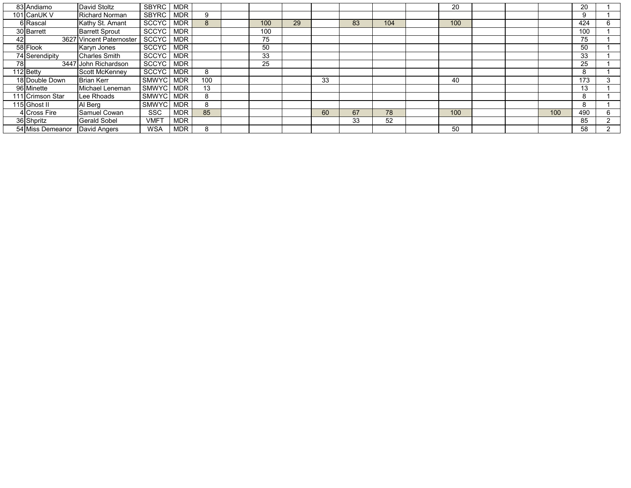|     | 83 Andiamo       | David Stoltz             | <b>SBYRC</b>     | <b>MDR</b> |     |     |    |    |    |     | 20  |  |     | 20  |                |
|-----|------------------|--------------------------|------------------|------------|-----|-----|----|----|----|-----|-----|--|-----|-----|----------------|
|     | 101 CanUK V      | <b>Richard Norman</b>    | SBYRC            | <b>MDR</b> | 9   |     |    |    |    |     |     |  |     | 9   |                |
|     | 6 Rascal         | Kathy St. Amant          | <b>SCCYC</b>     | <b>MDR</b> | 8   | 100 | 29 |    | 83 | 104 | 100 |  |     | 424 | 6              |
|     | 30 Barrett       | <b>Barrett Sprout</b>    | <b>SCCYC</b>     | <b>MDR</b> |     | 100 |    |    |    |     |     |  |     | 100 |                |
| 42  |                  | 3627 Vincent Paternoster | SCCYC            | <b>MDR</b> |     | 75  |    |    |    |     |     |  |     | 75  |                |
|     | 58 Flook         | Karyn Jones              | <b>SCCYC</b>     | <b>MDR</b> |     | 50  |    |    |    |     |     |  |     | 50  |                |
|     | 74 Serendipity   | <b>Charles Smith</b>     | <b>SCCYC</b>     | <b>MDR</b> |     | 33  |    |    |    |     |     |  |     | 33  |                |
| 781 |                  | 3447 John Richardson     | <b>SCCYC</b>     | <b>MDR</b> |     | 25  |    |    |    |     |     |  |     | 25  |                |
|     | 112 Betty        | Scott McKenney           | SCCYC            | <b>MDR</b> | 8   |     |    |    |    |     |     |  |     | 8   |                |
|     | 18 Double Down   | <b>Brian Kerr</b>        | SMWYC            | <b>MDR</b> | 100 |     |    | 33 |    |     | 40  |  |     | 173 | 3              |
|     | 96 Minette       | Michael Leneman          | <b>SMWYC</b>     | <b>MDR</b> | 13  |     |    |    |    |     |     |  |     | 13  |                |
|     | 111 Crimson Star | Lee Rhoads               | <b>SMWYC</b>     | <b>MDR</b> | 8   |     |    |    |    |     |     |  |     | 8   |                |
|     | 115 Ghost II     | Al Berg                  | <b>SMWYC</b>     | <b>MDR</b> | 8   |     |    |    |    |     |     |  |     | 8   |                |
|     | 4 Cross Fire     | Samuel Cowan             | <b>SSC</b>       | <b>MDR</b> | 85  |     |    | 60 | 67 | 78  | 100 |  | 100 | 490 | 6              |
|     | 36 Shpritz       | <b>Gerald Sobel</b>      | VMF <sub>1</sub> | <b>MDR</b> |     |     |    |    | 33 | 52  |     |  |     | 85  | $\overline{2}$ |
|     | 54 Miss Demeanor | David Angers             | <b>WSA</b>       | <b>MDR</b> | 8   |     |    |    |    |     | 50  |  |     | 58  | 2              |